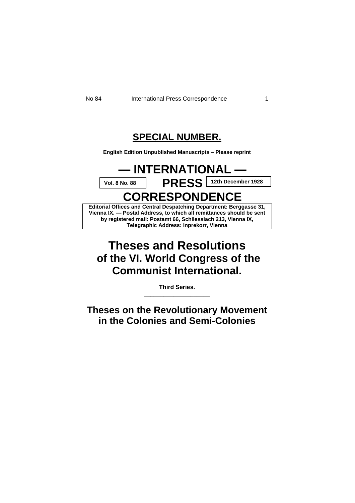## **SPECIAL NUMBER.**

**English Edition Unpublished Manuscripts – Please reprint** 



**Vienna IX. — Postal Address, to which all remittances should be sent by registered mail: Postamt 66, Schilessiach 213, Vienna IX, Telegraphic Address: Inprekorr, Vienna** 

# **Theses and Resolutions of the VI. World Congress of the Communist International.**

**Third Series. \_\_\_\_\_\_\_\_\_\_\_\_\_\_\_\_\_\_\_\_** 

**Theses on the Revolutionary Movement in the Colonies and Semi-Colonies**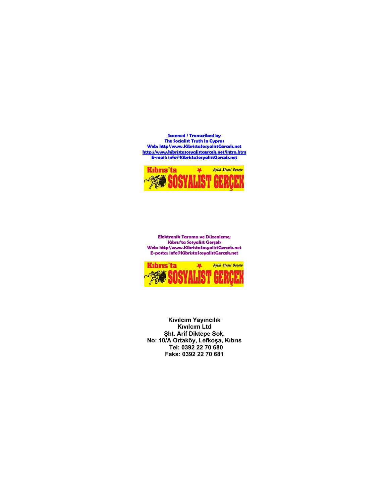#### **Scanned / Transcribed by The Socialist Truth In Cyprus Web: http//www.KibristaSosyalistGercek.net http://www.kibristasosyalistgercek.net/intro.htm E-mail: info@KibristaSosyalistGercek.net**

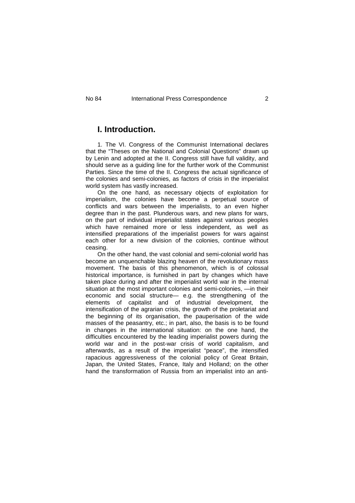### **I. Introduction.**

 1. The VI. Congress of the Communist International declares that the "Theses on the National and Colonial Questions" drawn up by Lenin and adopted at the II. Congress still have full validity, and should serve as a guiding line for the further work of the Communist Parties. Since the time of the II. Congress the actual significance of the colonies and semi-colonies, as factors of crisis in the imperialist world system has vastly increased.

 On the one hand, as necessary objects of exploitation for imperialism, the colonies have become a perpetual source of conflicts and wars between the imperialists, to an even higher degree than in the past. Plunderous wars, and new plans for wars, on the part of individual imperialist states against various peoples which have remained more or less independent, as well as intensified preparations of the imperialist powers for wars against each other for a new division of the colonies, continue without ceasing.

 On the other hand, the vast colonial and semi-colonial world has become an unquenchable blazing heaven of the revolutionary mass movement. The basis of this phenomenon, which is of colossal historical importance, is furnished in part by changes which have taken place during and after the imperialist world war in the internal situation at the most important colonies and semi-colonies, —in their economic and social structure— e.g. the strengthening of the elements of capitalist and of industrial development, the intensification of the agrarian crisis, the growth of the proletariat and the beginning of its organisation, the pauperisation of the wide masses of the peasantry, etc.; in part, also, the basis is to be found in changes in the international situation: on the one hand, the difficulties encountered by the leading imperialist powers during the world war and in the post-war crisis of world capitalism, and afterwards, as a result of the imperialist "peace", the intensified rapacious aggressiveness of the colonial policy of Great Britain, Japan, the United States, France, Italy and Holland; on the other hand the transformation of Russia from an imperialist into an anti-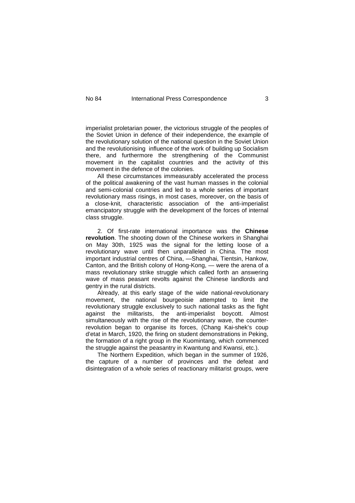imperialist proletarian power, the victorious struggle of the peoples of the Soviet Union in defence of their independence, the example of the revolutionary solution of the national question in the Soviet Union and the revolutionising influence of the work of building up Socialism there, and furthermore the strengthening of the Communist movement in the capitalist countries and the activity of this movement in the defence of the colonies.

 All these circumstances immeasurably accelerated the process of the political awakening of the vast human masses in the colonial and semi-colonial countries and led to a whole series of important revolutionary mass risings, in most cases, moreover, on the basis of a close-knit, characteristic association of the anti-imperialist emancipatory struggle with the development of the forces of internal class struggle.

 2. Of first-rate international importance was the **Chinese revolution**. The shooting down of the Chinese workers in Shanghai on May 30th, 1925 was the signal for the letting loose of a revolutionary wave until then unparalleled in China. The most important industrial centres of China, —Shanghai, Tientsin, Hankow, Canton, and the British colony of Hong-Kong, — were the arena of a mass revolutionary strike struggle which called forth an answering wave of mass peasant revolts against the Chinese landlords and gentry in the rural districts.

 Already, at this early stage of the wide national-revolutionary movement, the national bourgeoisie attempted to limit the revolutionary struggle exclusively to such national tasks as the fight against the militarists, the anti-imperialist boycott. Almost simultaneously with the rise of the revolutionary wave, the counterrevolution began to organise its forces, (Chang Kai-shek's coup d'etat in March, 1920, the firing on student demonstrations in Peking, the formation of a right group in the Kuomintang, which commenced the struggle against the peasantry in Kwantung and Kwansi, etc.).

 The Northern Expedition, which began in the summer of 1926, the capture of a number of provinces and the defeat and disintegration of a whole series of reactionary militarist groups, were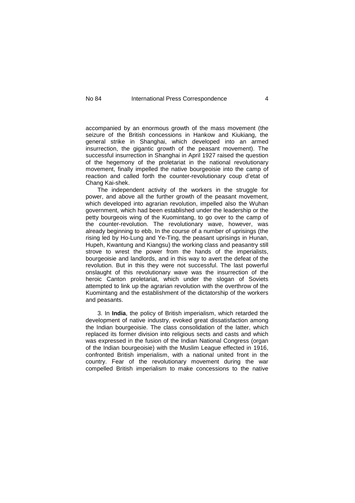accompanied by an enormous growth of the mass movement (the seizure of the British concessions in Hankow and Kiukiang, the general strike in Shanghai, which developed into an armed insurrection, the gigantic growth of the peasant movement). The successful insurrection in Shanghai in April 1927 raised the question of the hegemony of the proletariat in the national revolutionary movement, finally impelled the native bourgeoisie into the camp of reaction and called forth the counter-revolutionary coup d'etat of Chang Kai-shek.

The independent activity of the workers in the struggle for power, and above all the further growth of the peasant movement, which developed into agrarian revolution, impelled also the Wuhan government, which had been established under the leadership or the petty bourgeois wing of the Kuomintang, to go over to the camp of the counter-revolution. The revolutionary wave, however, was already beginning to ebb, In the course of a number of uprisings (the rising led by Ho-Lung and Ye-Ting, the peasant uprisings in Hunan, Hupeh, Kwantung and Kiangsu) the working class and peasantry still strove to wrest the power from the hands of the imperialists, bourgeoisie and landlords, and in this way to avert the defeat of the revolution. But in this they were not successful. The last powerful onslaught of this revolutionary wave was the insurrection of the heroic Canton proletariat, which under the slogan of Soviets attempted to link up the agrarian revolution with the overthrow of the Kuomintang and the establishment of the dictatorship of the workers and peasants.

 3. In **India**, the policy of British imperialism, which retarded the development of native industry, evoked great dissatisfaction among the Indian bourgeoisie. The class consolidation of the latter, which replaced its former division into religious sects and casts and which was expressed in the fusion of the Indian National Congress (organ of the Indian bourgeoisie) with the Muslim League effected in 1916, confronted British imperialism, with a national united front in the country. Fear of the revolutionary movement during the war compelled British imperialism to make concessions to the native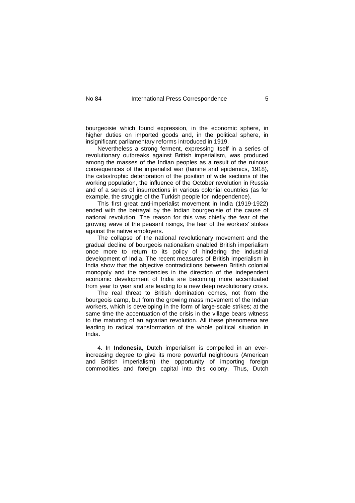bourgeoisie which found expression, in the economic sphere, in higher duties on imported goods and, in the political sphere, in insignificant parliamentary reforms introduced in 1919.

 Nevertheless a strong ferment, expressing itself in a series of revolutionary outbreaks against British imperialism, was produced among the masses of the Indian peoples as a result of the ruinous consequences of the imperialist war (famine and epidemics, 1918), the catastrophic deterioration of the position of wide sections of the working population, the influence of the October revolution in Russia and of a series of insurrections in various colonial countries (as for example, the struggle of the Turkish people for independence).

 This first great anti-imperialist movement in India (1919-1922) ended with the betrayal by the Indian bourgeoisie of the cause of national revolution. The reason for this was chiefly the fear of the growing wave of the peasant risings, the fear of the workers' strikes against the native employers.

 The collapse of the national revolutionary movement and the gradual decline of bourgeois nationalism enabled British imperialism once more to return to its policy of hindering the industrial development of India. The recent measures of British imperialism in India show that the objective contradictions between British colonial monopoly and the tendencies in the direction of the independent economic development of India are becoming more accentuated from year to year and are leading to a new deep revolutionary crisis.

 The real threat to British domination comes, not from the bourgeois camp, but from the growing mass movement of the Indian workers, which is developing in the form of large-scale strikes; at the same time the accentuation of the crisis in the village bears witness to the maturing of an agrarian revolution. All these phenomena are leading to radical transformation of the whole political situation in India.

 4. In **Indonesia**, Dutch imperialism is compelled in an everincreasing degree to give its more powerful neighbours (American and British imperialism) the opportunity of importing foreign commodities and foreign capital into this colony. Thus, Dutch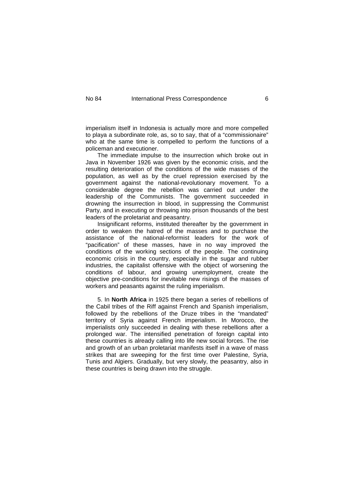imperialism itself in Indonesia is actually more and more compelled to playa a subordinate role, as, so to say, that of a "commissionaire" who at the same time is compelled to perform the functions of a policeman and executioner.

 The immediate impulse to the insurrection which broke out in Java in November 1926 was given by the economic crisis, and the resulting deterioration of the conditions of the wide masses of the population, as well as by the cruel repression exercised by the government against the national-revolutionary movement. To a considerable degree the rebellion was carried out under the leadership of the Communists. The government succeeded in drowning the insurrection in blood, in suppressing the Communist Party, and in executing or throwing into prison thousands of the best leaders of the proletariat and peasantry.

 Insignificant reforms, instituted thereafter by the government in order to weaken the hatred of the masses and to purchase the assistance of the national-reformist leaders for the work of "pacification" of these masses, have in no way improved the conditions of the working sections of the people. The continuing economic crisis in the country, especially in the sugar and rubber industries, the capitalist offensive with the object of worsening the conditions of labour, and growing unemployment, create the objective pre-conditions for inevitable new risings of the masses of workers and peasants against the ruling imperialism.

 5. In **North Africa** in 1925 there began a series of rebellions of the Cabil tribes of the Riff against French and Spanish imperialism, followed by the rebellions of the Druze tribes in the "mandated" territory of Syria against French imperialism. In Morocco, the imperialists only succeeded in dealing with these rebellions after a prolonged war. The intensified penetration of foreign capital into these countries is already calling into life new social forces. The rise and growth of an urban proletariat manifests itself in a wave of mass strikes that are sweeping for the first time over Palestine, Syria, Tunis and Algiers. Gradually, but very slowly, the peasantry, also in these countries is being drawn into the struggle.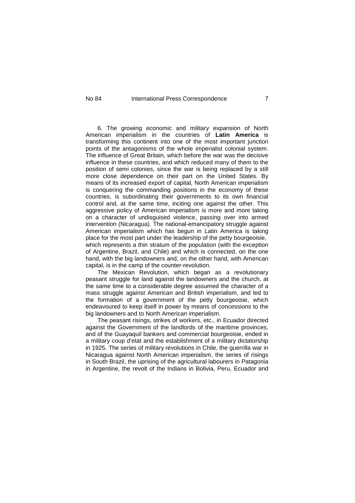6. The growing economic and military expansion of North American imperialism in the countries of **Latin America** is transforming this continent into one of the most important junction points of the antagonisms of the whole imperialist colonial system. The influence of Great Britain, which before the war was the decisive influence in these countries, and which reduced many of them to the position of semi colonies, since the war is being replaced by a still more close dependence on their part on the United States. By means of its increased export of capital, North American imperialism is conquering the commanding positions in the economy of these countries, is subordinating their governments to its own financial control and, at the same time, inciting one against the other. This aggressive policy of American imperialism is more and more taking on a character of undisguised violence, passing over into armed intervention (Nicaragua). The national-emancipatory struggle against American imperialism which has begun in Latin America is taking place for the most part under the leadership of the petty bourgeoisie, which represents a thin stratum of the population (with the exception of Argentine, Brazil, and Chile) and which is connected, on the one hand, with the big landowners and, on the other hand, with American capital, is in the camp of the counter-revolution.

 The Mexican Revolution, which began as a revolutionary peasant struggle for land against the landowners and the church, at the same time to a considerable degree assumed the character of a mass struggle against American and British imperialism, and led to the formation of a government of the petty bourgeoisie, which endeavoured to keep itself in power by means of concessions to the big landowners and to North American imperialism.

 The peasant risings, strikes of workers, etc., in Ecuador directed against the Government of the landlords of the maritime provinces, and of the Guayaquil bankers and commercial bourgeoisie, ended in a military coup d'etat and the establishment of a military dictatorship in 1925. The series of military revolutions in Chile, the guerrilla war in Nicaragua against North American imperialism, the series of risings in South Brazil, the uprising of the agricultural labourers in Patagonia in Argentine, the revolt of the Indians in Bolivia, Peru, Ecuador and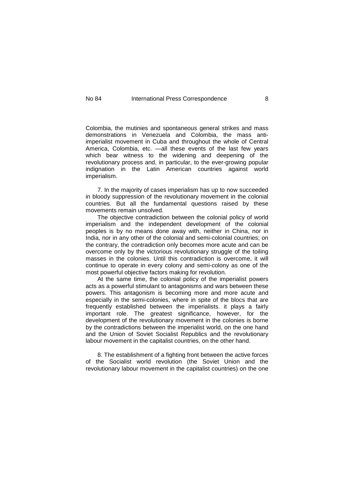Colombia, the mutinies and spontaneous general strikes and mass demonstrations in Venezuela and Colombia, the mass antiimperialist movement in Cuba and throughout the whole of Central America, Colombia, etc. —all these events of the last few years which bear witness to the widening and deepening of the revolutionary process and, in particular, to the ever-growing popular indignation in the Latin American countries against world imperialism.

 7. In the majority of cases imperialism has up to now succeeded in bloody suppression of the revolutionary movement in the colonial countries. But all the fundamental questions raised by these movements remain unsolved.

 The objective contradiction between the colonial policy of world imperialism and the independent development of the colonial peoples is by no means done away with, neither in China, nor in India, nor in any other of the colonial and semi-colonial countries; on the contrary, the contradiction only becomes more acute and can be overcome only by the victorious revolutionary struggle of the toiling masses in the colonies. Until this contradiction is overcome, it will continue to operate in every colony and semi-colony as one of the most powerful objective factors making for revolution.

 At the same time, the colonial policy of the imperialist powers acts as a powerful stimulant to antagonisms and wars between these powers. This antagonism is becoming more and more acute and especially in the semi-colonies, where in spite of the blocs that are frequently established between the imperialists. it plays a fairly important role. The greatest significance, however, for the development of the revolutionary movement in the colonies is borne by the contradictions between the imperialist world, on the one hand and the Union of Soviet Socialist Republics and the revolutionary labour movement in the capitalist countries, on the other hand.

 8. The establishment of a fighting front between the active forces of the Socialist world revolution (the Soviet Union and the revolutionary labour movement in the capitalist countries) on the one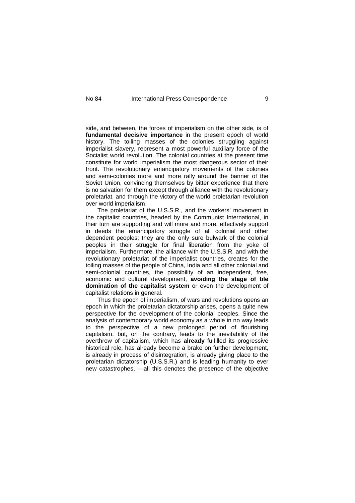side, and between, the forces of imperialism on the other side, is of **fundamental decisive importance** in the present epoch of world history. The toiling masses of the colonies struggling against imperialist slavery, represent a most powerful auxiliary force of the Socialist world revolution. The colonial countries at the present time constitute for world imperialism the most dangerous sector of their front. The revolutionary emancipatory movements of the colonies and semi-colonies more and more rally around the banner of the Soviet Union, convincing themselves by bitter experience that there is no salvation for them except through alliance with the revolutionary proletariat, and through the victory of the world proletarian revolution over world imperialism.

 The proletariat of the U.S.S.R., and the workers' movement in the capitalist countries, headed by the Communist International, in their turn are supporting and will more and more, effectively support in deeds the emancipatory struggle of all colonial and other dependent peoples; they are the only sure bulwark of the colonial peoples in their struggle for final liberation from the yoke of imperialism. Furthermore, the alliance with the U.S.S.R. and with the revolutionary proletariat of the imperialist countries, creates for the toiling masses of the people of China, India and all other colonial and semi-colonial countries, the possibility of an independent, free, economic and cultural development, **avoiding the stage of tile domination of the capitalist system** or even the development of capitalist relations in general.

 Thus the epoch of imperialism, of wars and revolutions opens an epoch in which the proletarian dictatorship arises, opens a quite new perspective for the development of the colonial peoples. Since the analysis of contemporary world economy as a whole in no way leads to the perspective of a new prolonged period of flourishing capitalism, but, on the contrary, leads to the inevitability of the overthrow of capitalism, which has **already** fulfilled its progressive historical role, has already become a brake on further development, is already in process of disintegration, is already giving place to the proletarian dictatorship (U.S.S.R.) and is leading humanity to ever new catastrophes, —all this denotes the presence of the objective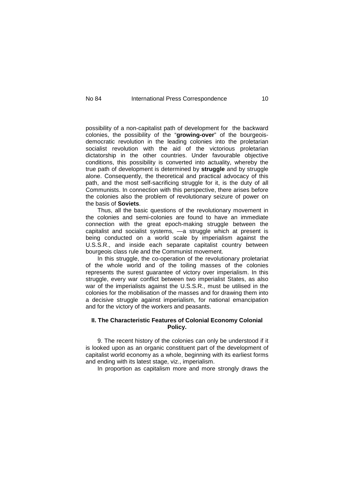possibility of a non-capitalist path of development for the backward colonies, the possibility of the "**growing-over**" of the bourgeoisdemocratic revolution in the leading colonies into the proletarian socialist revolution with the aid of the victorious proletarian dictatorship in the other countries. Under favourable objective conditions, this possibility is converted into actuality, whereby the true path of development is determined by **struggle** and by struggle alone. Consequently, the theoretical and practical advocacy of this path, and the most self-sacrificing struggle for it, is the duty of all Communists. In connection with this perspective, there arises before the colonies also the problem of revolutionary seizure of power on the basis of **Soviets**.

 Thus, all the basic questions of the revolutionary movement in the colonies and semi-colonies are found to have an immediate connection with the great epoch-making struggle between the capitalist and socialist systems, —a struggle which at present is being conducted on a world scale by imperialism against the U.S.S.R., and inside each separate capitalist country between bourgeois class rule and the Communist movement.

 In this struggle, the co-operation of the revolutionary proletariat of the whole world and of the toiling masses of the colonies represents the surest guarantee of victory over imperialism. In this struggle, every war conflict between two imperialist States, as also war of the imperialists against the U.S.S.R., must be utilised in the colonies for the mobilisation of the masses and for drawing them into a decisive struggle against imperialism, for national emancipation and for the victory of the workers and peasants.

#### **II. The Characteristic Features of Colonial Economy Colonial Policy.**

 9. The recent history of the colonies can only be understood if it is looked upon as an organic constituent part of the development of capitalist world economy as a whole, beginning with its earliest forms and ending with its latest stage, viz., imperialism.

In proportion as capitalism more and more strongly draws the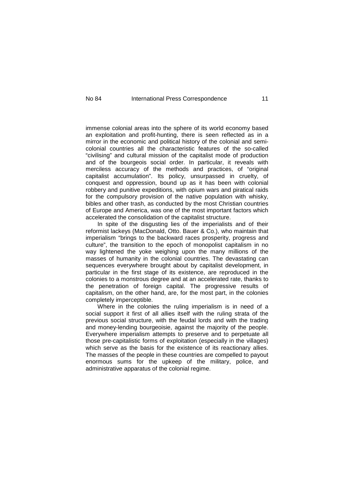immense colonial areas into the sphere of its world economy based an exploitation and profit-hunting, there is seen reflected as in a mirror in the economic and political history of the colonial and semicolonial countries all the characteristic features of the so-called "civilising" and cultural mission of the capitalist mode of production and of the bourgeois social order. In particular, it reveals with merciless accuracy of the methods and practices, of "original capitalist accumulation". Its policy, unsurpassed in cruelty, of conquest and oppression, bound up as it has been with colonial robbery and punitive expeditions, with opium wars and piratical raids for the compulsory provision of the native population with whisky, bibles and other trash, as conducted by the most Christian countries of Europe and America, was one of the most important factors which accelerated the consolidation of the capitalist structure.

 In spite of the disgusting lies of the imperialists and of their reformist lackeys (MacDonald, Otto. Bauer & Co.), who maintain that imperialism "brings to the backward races prosperity, progress and culture", the transition to the epoch of monopolist capitalism in no way lightened the yoke weighing upon the many millions of the masses of humanity in the colonial countries. The devastating can sequences everywhere brought about by capitalist development, in particular in the first stage of its existence, are reproduced in the colonies to a monstrous degree and at an accelerated rate, thanks to the penetration of foreign capital. The progressive results of capitalism, on the other hand, are, for the most part, in the colonies completely imperceptible.

 Where in the colonies the ruling imperialism is in need of a social support it first of all allies itself with the ruling strata of the previous social structure, with the feudal lords and with the trading and money-lending bourgeoisie, against the majority of the people. Everywhere imperialism attempts to preserve and to perpetuate all those pre-capitalistic forms of exploitation (especially in the villages) which serve as the basis for the existence of its reactionary allies. The masses of the people in these countries are compelled to payout enormous sums for the upkeep of the military, police, and administrative apparatus of the colonial regime.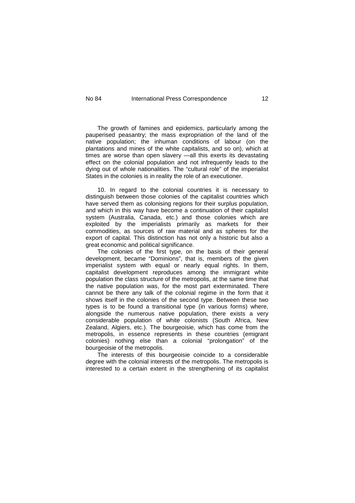The growth of famines and epidemics, particularly among the pauperised peasantry; the mass expropriation of the land of the native population; the inhuman conditions of labour (on the plantations and mines of the white capitalists, and so on), which at times are worse than open slavery —all this exerts its devastating effect on the colonial population and not infrequently leads to the dying out of whole nationalities. The "cultural role" of the imperialist States in the colonies is in reality the role of an executioner.

 10. In regard to the colonial countries it is necessary to distinguish between those colonies of the capitalist countries which have served them as colonising regions for their surplus population, and which in this way have become a continuation of their capitalist system (Australia, Canada, etc.) and those colonies which are exploited by the imperialists primarily as markets for their commodities, as sources of raw material and as spheres for the export of capital. This distinction has not only a historic but also a great economic and political significance.

 The colonies of the first type, on the basis of their general development, became "Dominions", that is, members of the given imperialist system with equal or nearly equal rights. In them, capitalist development reproduces among the immigrant white population the class structure of the metropolis, at the same time that the native population was, for the most part exterminated. There cannot be there any talk of the colonial regime in the form that it shows itself in the colonies of the second type. Between these two types is to be found a transitional type (in various forms) where, alongside the numerous native population, there exists a very considerable population of white colonists (South Africa, New Zealand, Algiers, etc.). The bourgeoisie, which has come from the metropolis, in essence represents in these countries (emigrant colonies) nothing else than a colonial "prolongation" of the bourgeoisie of the metropolis.

 The interests of this bourgeoisie coincide to a considerable degree with the colonial interests of the metropolis. The metropolis is interested to a certain extent in the strengthening of its capitalist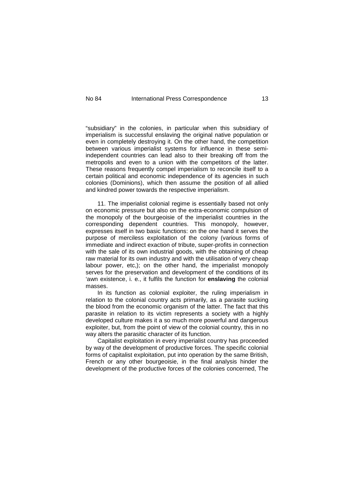"subsidiary" in the colonies, in particular when this subsidiary of imperialism is successful enslaving the original native population or even in completely destroying it. On the other hand, the competition between various imperialist systems for influence in these semiindependent countries can lead also to their breaking off from the metropolis and even to a union with the competitors of the latter. These reasons frequently compel imperialism to reconcile itself to a certain political and economic independence of its agencies in such colonies (Dominions), which then assume the position of all allied and kindred power towards the respective imperialism.

 11. The imperialist colonial regime is essentially based not only on economic pressure but also on the extra-economic compulsion of the monopoly of the bourgeoisie of the imperialist countries in the corresponding dependent countries. This monopoly, however, expresses itself in two basic functions: on the one hand it serves the purpose of merciless exploitation of the colony (various forms of immediate and indirect exaction of tribute, super-profits in connection with the sale of its own industrial goods, with the obtaining of cheap raw material for its own industry and with the utilisation of very cheap labour power, etc,); on the other hand, the imperialist monopoly serves for the preservation and development of the conditions of its 'awn existence, i. e., it fulfils the function for **enslaving** the colonial masses.

 In its function as colonial exploiter, the ruling imperialism in relation to the colonial country acts primarily, as a parasite sucking the blood from the economic organism of the latter. The fact that this parasite in relation to its victim represents a society with a highly developed culture makes it a so much more powerful and dangerous exploiter, but, from the point of view of the colonial country, this in no way alters the parasitic character of its function.

 Capitalist exploitation in every imperialist country has proceeded by way of the development of productive forces. The specific colonial forms of capitalist exploitation, put into operation by the same British, French or any other bourgeoisie, in the final analysis hinder the development of the productive forces of the colonies concerned, The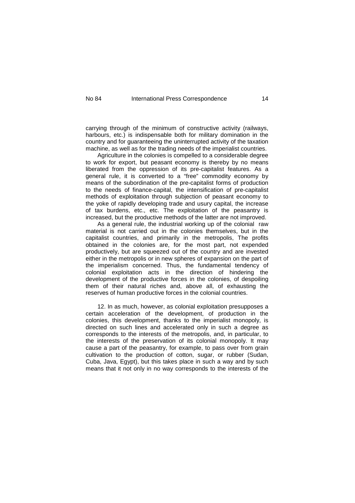carrying through of the minimum of constructive activity (railways, harbours, etc.) is indispensable both for military domination in the country and for guaranteeing the uninterrupted activity of the taxation machine, as well as for the trading needs of the imperialist countries.

 Agriculture in the colonies is compelled to a considerable degree to work for export, but peasant economy is thereby by no means liberated from the oppression of its pre-capitalist features. As a general rule, it is converted to a "free" commodity economy by means of the subordination of the pre-capitalist forms of production to the needs of finance-capital, the intensification of pre-capitalist methods of exploitation through subjection of peasant economy to the yoke of rapidly developing trade and usury capital, the increase of tax burdens, etc., etc. The exploitation of the peasantry is increased, but the productive methods of the latter are not improved.

 As a general rule, the industrial working up of the colonial raw material is not carried out in the colonies themselves, but in the capitalist countries, and primarily in the metropolis, The profits obtained in the colonies are, for the most part, not expended productively, but are squeezed out of the country and are invested either in the metropolis or in new spheres of expansion on the part of the imperialism concerned. Thus, the fundamental tendency of colonial exploitation acts in the direction of hindering the development of the productive forces in the colonies, of despoiling them of their natural riches and, above all, of exhausting the reserves of human productive forces in the colonial countries.

 12. In as much, however, as colonial exploitation presupposes a certain acceleration of the development, of production in the colonies, this development, thanks to the imperialist monopoly, is directed on such lines and accelerated only in such a degree as corresponds to the interests of the metropolis, and, in particular, to the interests of the preservation of its colonial monopoly. It may cause a part of the peasantry, for example, to pass over from grain cultivation to the production of cotton, sugar, or rubber (Sudan, Cuba, Java, Egypt), but this takes place in such a way and by such means that it not only in no way corresponds to the interests of the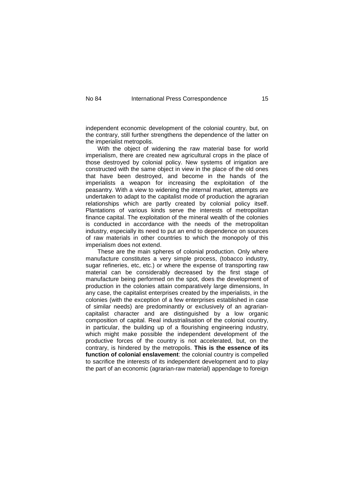independent economic development of the colonial country, but, on the contrary, still further strengthens the dependence of the latter on the imperialist metropolis.

 With the object of widening the raw material base for world imperialism, there are created new agricultural crops in the place of those destroyed by colonial policy. New systems of irrigation are constructed with the same object in view in the place of the old ones that have been destroyed, and become in the hands of the imperialists a weapon for increasing the exploitation of the peasantry. With a view to widening the internal market, attempts are undertaken to adapt to the capitalist mode of production the agrarian relationships which are partly created by colonial policy itself. Plantations of various kinds serve the interests of metropolitan finance capital. The exploitation of the mineral wealth of the colonies is conducted in accordance with the needs of the metropolitan industry, especially its need to put an end to dependence on sources of raw materials in other countries to which the monopoly of this imperialism does not extend.

 These are the main spheres of colonial production. Only where manufacture constitutes a very simple process, (tobacco industry, sugar refineries, etc, etc.) or where the expense of transporting raw material can be considerably decreased by the first stage of manufacture being performed on the spot, does the development of production in the colonies attain comparatively large dimensions, In any case, the capitalist enterprises created by the imperialists, in the colonies (with the exception of a few enterprises established in case of similar needs) are predominantly or exclusively of an agrariancapitalist character and are distinguished by a low organic composition of capital. Real industrialisation of the colonial country, in particular, the building up of a flourishing engineering industry, which might make possible the independent development of the productive forces of the country is not accelerated, but, on the contrary, is hindered by the metropolis. **This is the essence of its function of colonial enslavement**: the colonial country is compelled to sacrifice the interests of its independent development and to play the part of an economic (agrarian-raw material) appendage to foreign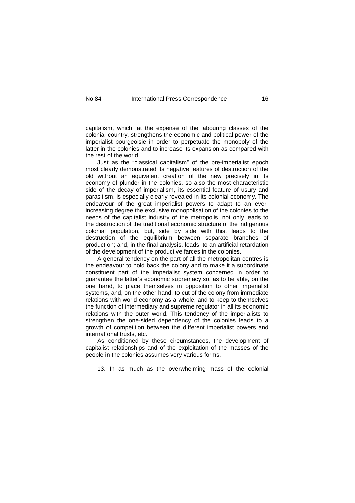capitalism, which, at the expense of the labouring classes of the colonial country, strengthens the economic and political power of the imperialist bourgeoisie in order to perpetuate the monopoly of the latter in the colonies and to increase its expansion as compared with the rest of the world.

 Just as the "classical capitalism" of the pre-imperialist epoch most clearly demonstrated its negative features of destruction of the old without an equivalent creation of the new precisely in its economy of plunder in the colonies, so also the most characteristic side of the decay of imperialism, its essential feature of usury and parasitism, is especially clearly revealed in its colonial economy. The endeavour of the great imperialist powers to adapt to an everincreasing degree the exclusive monopolisation of the colonies to the needs of the capitalist industry of the metropolis, not only leads to the destruction of the traditional economic structure of the indigenous colonial population, but, side by side with this, leads to the destruction of the equilibrium between separate branches of production; and, in the final analysis, leads, to an artificial retardation of the development of the productive farces in the colonies.

 A general tendency on the part of all the metropolitan centres is the endeavour to hold back the colony and to make it a subordinate constituent part of the imperialist system concerned in order to guarantee the latter's economic supremacy so, as to be able, on the one hand, to place themselves in opposition to other imperialist systems, and, on the other hand, to cut of the colony from immediate relations with world economy as a whole, and to keep to themselves the function of intermediary and supreme regulator in all its economic relations with the outer world. This tendency of the imperialists to strengthen the one-sided dependency of the colonies leads to a growth of competition between the different imperialist powers and international trusts, etc.

 As conditioned by these circumstances, the development of capitalist relationships and of the exploitation of the masses of the people in the colonies assumes very various forms.

13. In as much as the overwhelming mass of the colonial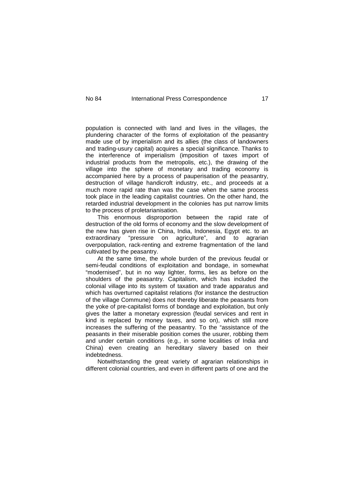population is connected with land and lives in the villages, the plundering character of the forms of exploitation of the peasantry made use of by imperialism and its allies (the class of landowners and trading-usury capital) acquires a special significance. Thanks to the interference of imperialism (imposition of taxes import of industrial products from the metropolis, etc.), the drawing of the village into the sphere of monetary and trading economy is accompanied here by a process of pauperisation of the peasantry, destruction of village handicroft industry, etc., and proceeds at a much more rapid rate than was the case when the same process took place in the leading capitalist countries. On the other hand, the retarded industrial development in the colonies has put narrow limits to the process of proletarianisation.

 This enormous disproportion between the rapid rate of destruction of the old forms of economy and the slow development of the new has given rise in China, India, Indonesia, Egypt etc. to an extraordinary "pressure on agriculture", and to agrarian overpopulation, rack-renting and extreme fragmentation of the land cultivated by the peasantry.

 At the same time, the whole burden of the previous feudal or semi-feudal conditions of exploitation and bondage, in somewhat "modernised", but in no way lighter, forms, lies as before on the shoulders of the peasantry. Capitalism, which has included the colonial village into its system of taxation and trade apparatus and which has overturned capitalist relations (for instance the destruction of the village Commune) does not thereby liberate the peasants from the yoke of pre-capitalist forms of bondage and exploitation, but only gives the latter a monetary expression (feudal services and rent in kind is replaced by money taxes, and so on), which still more increases the suffering of the peasantry. To the "assistance of the peasants in their miserable position comes the usurer, robbing them and under certain conditions (e.g., in some localities of India and China) even creating an hereditary slavery based on their indebtedness.

 Notwithstanding the great variety of agrarian relationships in different colonial countries, and even in different parts of one and the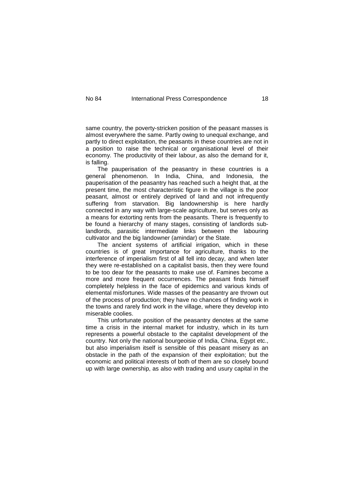same country, the poverty-stricken position of the peasant masses is almost everywhere the same. Partly owing to unequal exchange, and partly to direct exploitation, the peasants in these countries are not in a position to raise the technical or organisational level of their economy. The productivity of their labour, as also the demand for it, is falling.

 The pauperisation of the peasantry in these countries is a general phenomenon. In India, China, and Indonesia, the pauperisation of the peasantry has reached such a height that, at the present time, the most characteristic figure in the village is the poor peasant, almost or entirely deprived of land and not infrequently suffering from starvation. Big landownership is here hardly connected in any way with large-scale agriculture, but serves only as a means for extorting rents from the peasants. There is frequently to be found a hierarchy of many stages, consisting of landlords sublandlords, parasitic intermediate links between the labouring cultivator and the big landowner (amindar) or the State.

 The ancient systems of artificial irrigation, which in these countries is of great importance for agriculture, thanks to the interference of imperialism first of all fell into decay, and when later they were re-established on a capitalist basis, then they were found to be too dear for the peasants to make use of. Famines become a more and more frequent occurrences. The peasant finds himself completely helpless in the face of epidemics and various kinds of elemental misfortunes. Wide masses of the peasantry are thrown out of the process of production; they have no chances of finding work in the towns and rarely find work in the village, where they develop into miserable coolies.

 This unfortunate position of the peasantry denotes at the same time a crisis in the internal market for industry, which in its turn represents a powerful obstacle to the capitalist development of the country. Not only the national bourgeoisie of India, China, Egypt etc., but also imperialism itself is sensible of this peasant misery as an obstacle in the path of the expansion of their exploitation; but the economic and political interests of both of them are so closely bound up with large ownership, as also with trading and usury capital in the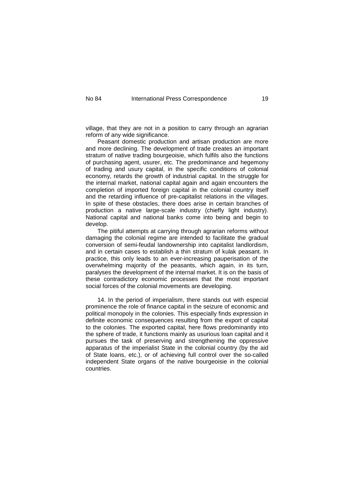village, that they are not in a position to carry through an agrarian reform of any wide significance.

 Peasant domestic production and artisan production are more and more declining. The development of trade creates an important stratum of native trading bourgeoisie, which fulfils also the functions of purchasing agent, usurer, etc. The predominance and hegemony of trading and usury capital, in the specific conditions of colonial economy, retards the growth of industrial capital. In the struggle for the internal market, national capital again and again encounters the completion of imported foreign capital in the colonial country itself and the retarding influence of pre-capitalist relations in the villages. In spite of these obstacles, there does arise in certain branches of production a native large-scale industry (chiefly light industry). National capital and national banks come into being and begin to develop.

 The pitiful attempts at carrying through agrarian reforms without damaging the colonial regime are intended to facilitate the gradual conversion of semi-feudal landownership into capitalist landlordism, and in certain cases to establish a thin stratum of kulak peasant. In practice, this only leads to an ever-increasing pauperisation of the overwhelming majority of the peasants, which again, in its turn, paralyses the development of the internal market. It is on the basis of these contradictory economic processes that the most important social forces of the colonial movements are developing.

 14. In the period of imperialism, there stands out with especial prominence the role of finance capital in the seizure of economic and political monopoly in the colonies. This especially finds expression in definite economic consequences resulting from the export of capital to the colonies. The exported capital, here flows predominantly into the sphere of trade, it functions mainly as usurious loan capital and it pursues the task of preserving and strengthening the oppressive apparatus of the imperialist State in the colonial country (by the aid of State loans, etc.), or of achieving full control over the so-called independent State organs of the native bourgeoisie in the colonial countries.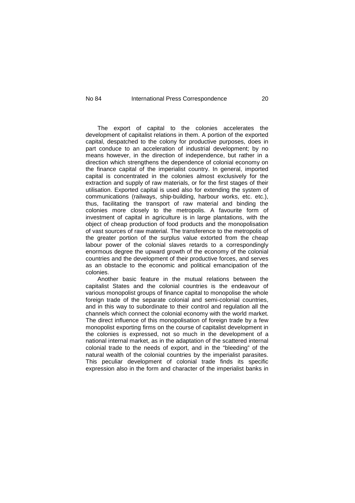The export of capital to the colonies accelerates the development of capitalist relations in them. A portion of the exported capital, despatched to the colony for productive purposes, does in part conduce to an acceleration of industrial development; by no means however, in the direction of independence, but rather in a direction which strengthens the dependence of colonial economy on the finance capital of the imperialist country. In general, imported capital is concentrated in the colonies almost exclusively for the extraction and supply of raw materials, or for the first stages of their utilisation. Exported capital is used also for extending the system of communications (railways, ship-building, harbour works, etc. etc.), thus, facilitating the transport of raw material and binding the colonies more closely to the metropolis. A favourite form of investment of capital in agriculture is in large plantations, with the object of cheap production of food products and the monopolisation of vast sources of raw material. The transference to the metropolis of the greater portion of the surplus value extorted from the cheap labour power of the colonial slaves retards to a correspondingly enormous degree the upward growth of the economy of the colonial countries and the development of their productive forces, and serves as an obstacle to the economic and political emancipation of the colonies.

 Another basic feature in the mutual relations between the capitalist States and the colonial countries is the endeavour of various monopolist groups of finance capital to monopolise the whole foreign trade of the separate colonial and semi-colonial countries, and in this way to subordinate to their control and regulation all the channels which connect the colonial economy with the world market. The direct influence of this monopolisation of foreign trade by a few monopolist exporting firms on the course of capitalist development in the colonies is expressed, not so much in the development of a national internal market, as in the adaptation of the scattered internal colonial trade to the needs of export, and in the "bleeding" of the natural wealth of the colonial countries by the imperialist parasites. This peculiar development of colonial trade finds its specific expression also in the form and character of the imperialist banks in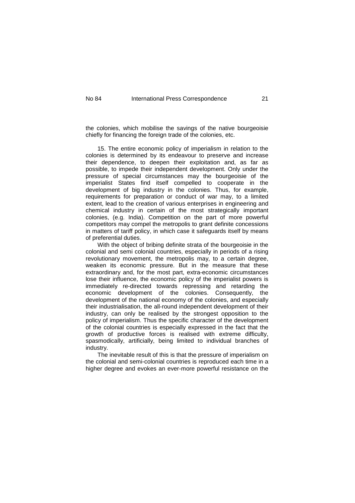the colonies, which mobilise the savings of the native bourgeoisie chiefly for financing the foreign trade of the colonies, etc.

 15. The entire economic policy of imperialism in relation to the colonies is determined by its endeavour to preserve and increase their dependence, to deepen their exploitation and, as far as possible, to impede their independent development. Only under the pressure of special circumstances may the bourgeoisie of the imperialist States find itself compelled to cooperate in the development of big industry in the colonies. Thus, for example, requirements for preparation or conduct of war may, to a limited extent, lead to the creation of various enterprises in engineering and chemical industry in certain of the most strategically important colonies, (e.g. India). Competition on the part of more powerful competitors may compel the metropolis to grant definite concessions in matters of tariff policy, in which case it safeguards itself by means of preferential duties.

 With the object of bribing definite strata of the bourgeoisie in the colonial and semi colonial countries, especially in periods of a rising revolutionary movement, the metropolis may, to a certain degree, weaken its economic pressure. But in the measure that these extraordinary and, for the most part, extra-economic circumstances lose their influence, the economic policy of the imperialist powers is immediately re-directed towards repressing and retarding the economic development of the colonies. Consequently, the development of the national economy of the colonies, and especially their industrialisation, the all-round independent development of their industry, can only be realised by the strongest opposition to the policy of imperialism. Thus the specific character of the development of the colonial countries is especially expressed in the fact that the growth of productive forces is realised with extreme difficulty, spasmodically, artificially, being limited to individual branches of industry.

 The inevitable result of this is that the pressure of imperialism on the colonial and semi-colonial countries is reproduced each time in a higher degree and evokes an ever-more powerful resistance on the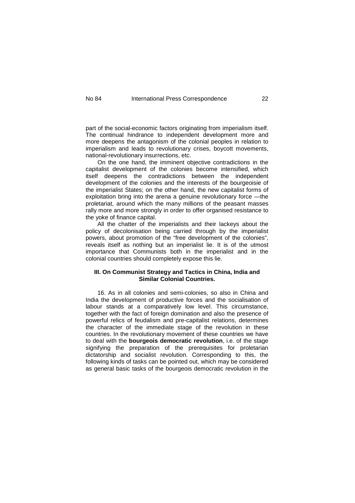part of the social-economic factors originating from imperialism itself. The continual hindrance to independent development more and more deepens the antagonism of the colonial peoples in relation to imperialism and leads to revolutionary crises, boycott movements, national-revolutionary insurrections, etc.

 On the one hand, the imminent objective contradictions in the capitalist development of the colonies become intensified, which itself deepens the contradictions between the independent development of the colonies and the interests of the bourgeoisie of the imperialist States; on the other hand, the new capitalist forms of exploitation bring into the arena a genuine revolutionary force —the proletariat, around which the many millions of the peasant masses rally more and more strongly in order to offer organised resistance to the yoke of finance capital.

 All the chatter of the imperialists and their lackeys about the policy of decolonisation being carried through by the imperialist powers, about promotion of the "free development of the colonies", reveals itself as nothing but an imperialist lie. It is of the utmost importance that Communists both in the imperialist and in the colonial countries should completely expose this lie.

#### **III. On Communist Strategy and Tactics in China, India and Similar Colonial Countries.**

 16. As in all colonies and semi-colonies, so also in China and India the development of productive forces and the socialisation of labour stands at a comparatively low level. This circumstance, together with the fact of foreign domination and also the presence of powerful relics of feudalism and pre-capitalist relations, determines the character of the immediate stage of the revolution in these countries. In the revolutionary movement of these countries we have to deal with the **bourgeois democratic revolution**, i.e. of the stage signifying the preparation of the prerequisites for proletarian dictatorship and socialist revolution. Corresponding to this, the following kinds of tasks can be pointed out, which may be considered as general basic tasks of the bourgeois democratic revolution in the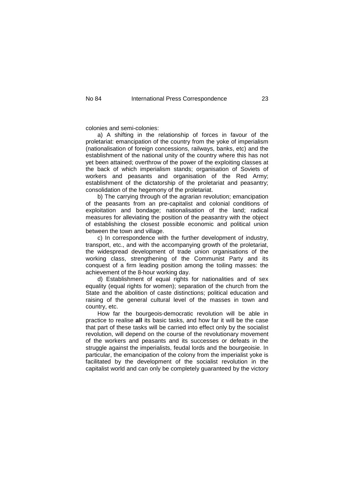colonies and semi-colonies:

 a) A shifting in the relationship of forces in favour of the proletariat: emancipation of the country from the yoke of imperialism (nationalisation of foreign concessions, railways, banks, etc) and the establishment of the national unity of the country where this has not yet been attained; overthrow of the power of the exploiting classes at the back of which imperialism stands; organisation of Soviets of workers and peasants and organisation of the Red Army; establishment of the dictatorship of the proletariat and peasantry; consolidation of the hegemony of the proletariat.

 b) The carrying through of the agrarian revolution; emancipation of the peasants from an pre-capitalist and colonial conditions of exploitation and bondage; nationalisation of the land; radical measures for alleviating the position of the peasantry with the object of establishing the closest possible economic and political union between the town and village.

 c) In correspondence with the further development of industry, transport, etc., and with the accompanying growth of the proletariat, the widespread development of trade union organisations of the working class, strengthening of the Communist Party and its conquest of a firm leading position among the toiling masses: the achievement of the 8-hour working day.

 d) Establishment of equal rights for nationalities and of sex equality (equal rights for women); separation of the church from the State and the abolition of caste distinctions; political education and raising of the general cultural level of the masses in town and country, etc.

 How far the bourgeois-democratic revolution will be able in practice to realise **all** its basic tasks, and how far it will be the case that part of these tasks will be carried into effect only by the socialist revolution, will depend on the course of the revolutionary movement of the workers and peasants and its successes or defeats in the struggle against the imperialists, feudal lords and the bourgeoisie. In particular, the emancipation of the colony from the imperialist yoke is facilitated by the development of the socialist revolution in the capitalist world and can only be completely guaranteed by the victory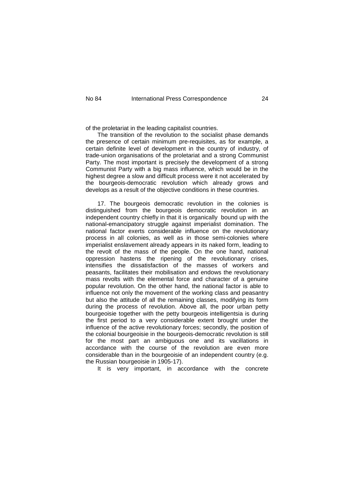of the proletariat in the leading capitalist countries.

 The transition of the revolution to the socialist phase demands the presence of certain minimum pre-requisites, as for example, a certain definite level of development in the country of industry, of trade-union organisations of the proletariat and a strong Communist Party. The most important is precisely the development of a strong Communist Party with a big mass influence, which would be in the highest degree a slow and difficult process were it not accelerated by the bourgeois-democratic revolution which already grows and develops as a result of the objective conditions in these countries.

 17. The bourgeois democratic revolution in the colonies is distinguished from the bourgeois democratic revolution in an independent country chiefly in that it is organically bound up with the national-emancipatory struggle against imperialist domination. The national factor exerts considerable influence on the revolutionary process in all colonies, as well as in those semi-colonies where imperialist enslavement already appears in its naked form, leading to the revolt of the mass of the people. On the one hand, national oppression hastens the ripening of the revolutionary crises, intensifies the dissatisfaction of the masses of workers and peasants, facilitates their mobilisation and endows the revolutionary mass revolts with the elemental force and character of a genuine popular revolution. On the other hand, the national factor is able to influence not only the movement of the working class and peasantry but also the attitude of all the remaining classes, modifying its form during the process of revolution. Above all, the poor urban petty bourgeoisie together with the petty bourgeois intelligentsia is during the first period to a very considerable extent brought under the influence of the active revolutionary forces; secondly, the position of the colonial bourgeoisie in the bourgeois-democratic revolution is still for the most part an ambiguous one and its vacillations in accordance with the course of the revolution are even more considerable than in the bourgeoisie of an independent country (e.g. the Russian bourgeoisie in 1905-17).

It is very important, in accordance with the concrete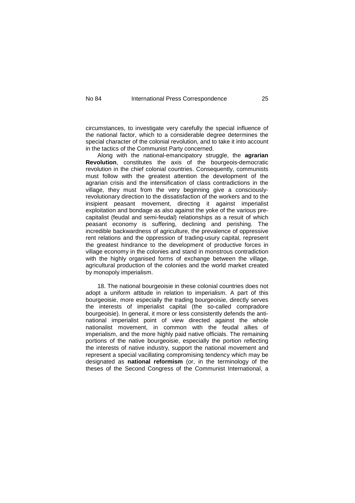circumstances, to investigate very carefully the special influence of the national factor, which to a considerable degree determines the special character of the colonial revolution, and to take it into account in the tactics of the Communist Party concerned.

 Along with the national-emancipatory struggle, the **agrarian Revolution**, constitutes the axis of the bourgeois-democratic revolution in the chief colonial countries. Consequently, communists must follow with the greatest attention the development of the agrarian crisis and the intensification of class contradictions in the village, they must from the very beginning give a consciouslyrevolutionary direction to the dissatisfaction of the workers and to the insipient peasant movement, directing it against imperialist exploitation and bondage as also against the yoke of the various precapitalist (feudal and semi-feudal) relationships as a resuit of which peasant economy is suffering, declining and perishing. The incredible backwardness of agriculture, the prevalence of oppressive rent relations and the oppression of trading-usury capital, represent the greatest hindrance to the development of productive forces in village economy in the colonies and stand in monstrous contradiction with the highly organised forms of exchange between the village, agricultural production of the colonies and the world market created by monopoly imperialism.

 18. The national bourgeoisie in these colonial countries does not adopt a uniform attitude in relation to imperialism. A part of this bourgeoisie, more especially the trading bourgeoisie, directly serves the interests of imperialist capital (the so-called compradore bourgeoisie). In general, it more or less consistently defends the antinational imperialist point of view directed against the whole nationalist movement, in common with the feudal allies of imperialism, and the more highly paid native officials. The remaining portions of the native bourgeoisie, especially the portion reflecting the interests of native industry, support the national movement and represent a special vacillating compromising tendency which may be designated as **national reformism** (or, in the terminology of the theses of the Second Congress of the Communist International, a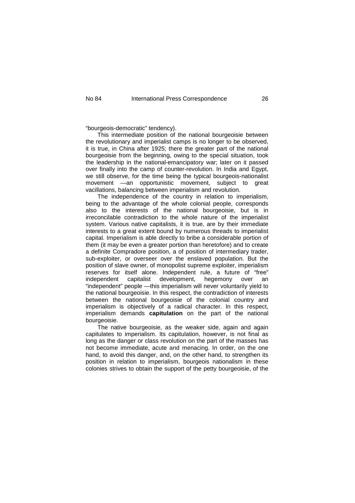"bourgeois-democratic" tendency).

 This intermediate position of the national bourgeoisie between the revolutionary and imperialist camps is no longer to be observed, it is true, in China after 1925; there the greater part of the national bourgeoisie from the beginning, owing to the special situation, took the leadership in the national-emancipatory war; later on it passed over finally into the camp of counter-revolution. In India and Egypt, we still observe, for the time being the typical bourgeois-nationalist movement —an opportunistic movement, subject to great vacillations, balancing between imperialism and revolution.

 The independence of the country in relation to imperialism, being to the advantage of the whole colonial people, corresponds also to the interests of the national bourgeoisie, but is in irreconcilable contradiction to the whole nature of the imperialist system. Various native capitalists, it is true, are by their immediate interests to a great extent bound by numerous threads to imperialist capital. Imperialism is able directly to bribe a considerable portion of them (it may be even a greater portion than heretofore) and to create a definite Compradore position, a of position of intermediary trader, sub-exploiter, or overseer over the enslaved population. But the position of slave owner, of monopolist supreme exploiter, imperialism reserves for itself alone. Independent rule, a future of "free" independent capitalist development, hegemony over an "independent" people —this imperialism will never voluntarily yield to the national bourgeoisie. In this respect, the contradiction of interests between the national bourgeoisie of the colonial country and imperialism is objectively of a radical character. In this respect, imperialism demands **capitulation** on the part of the national bourgeoisie.

 The native bourgeoisie, as the weaker side, again and again capitulates to imperialism. Its capitulation, however, is not final as long as the danger or class revolution on the part of the masses has not become immediate, acute and menacing. In order, on the one hand, to avoid this danger, and, on the other hand, to strengthen its position in relation to imperialism, bourgeois nationalism in these colonies strives to obtain the support of the petty bourgeoisie, of the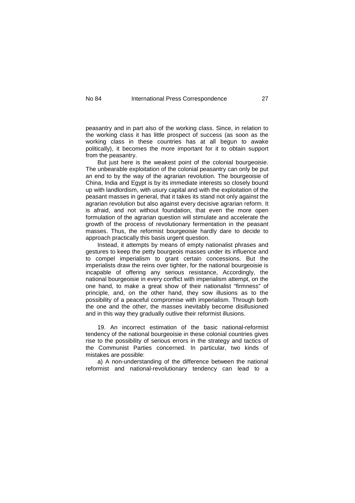peasantry and in part also of the working class. Since, in relation to the working class it has little prospect of success (as soon as the working class in these countries has at all begun to awake politically), it becomes the more important for it to obtain support from the peasantry.

 But just here is the weakest point of the colonial bourgeoisie. The unbearable exploitation of the colonial peasantry can only be put an end to by the way of the agrarian revolution. The bourgeoisie of China, India and Egypt is by its immediate interests so closely bound up with landlordism, with usury capital and with the exploitation of the peasant masses in general, that it takes its stand not only against the agrarian revolution but also against every decisive agrarian reform. It is afraid, and not without foundation, that even the more open formulation of the agrarian question will stimulate and accelerate the growth of the process of revolutionary fermentation in the peasant masses. Thus, the reformist bourgeoisie hardly dare to decide to approach practically this basis urgent question.

 Instead, it attempts by means of empty nationalist phrases and gestures to keep the petty bourgeois masses under its influence and to compel imperialism to grant certain concessions. But the imperialists draw the reins over tighter, for the national bourgeoisie is incapable of offering any serious resistance, Accordingly, the national bourgeoisie in every conflict with imperialism attempt, on the one hand, to make a great show of their nationalist "firmness" of principle, and, on the other hand, they sow illusions as to the possibility of a peaceful compromise with imperialism. Through both the one and the other, the masses inevitably become disillusioned and in this way they gradually outlive their reformist illusions.

 19. An incorrect estimation of the basic national-reformist tendency of the national bourgeoisie in these colonial countries gives rise to the possibility of serious errors in the strategy and tactics of the Communist Parties concerned. In particular, two kinds of mistakes are possible:

 a) A non-understanding of the difference between the national reformist and national-revolutionary tendency can lead to a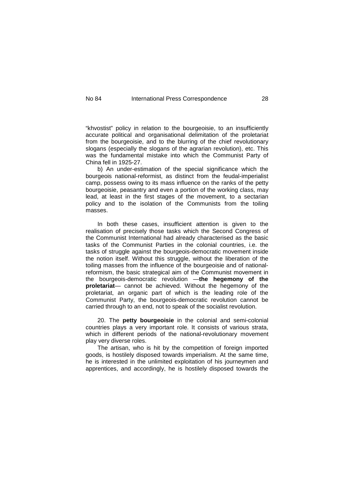"khvostist" policy in relation to the bourgeoisie, to an insufficiently accurate political and organisational delimitation of the proletariat from the bourgeoisie, and to the blurring of the chief revolutionary slogans (especially the slogans of the agrarian revolution), etc. This was the fundamental mistake into which the Communist Party of China fell in 1925-27.

 b) An under-estimation of the special significance which the bourgeois national-reformist, as distinct from the feudal-imperialist camp, possess owing to its mass influence on the ranks of the petty bourgeoisie, peasantry and even a portion of the working class, may lead, at least in the first stages of the movement, to a sectarian policy and to the isolation of the Communists from the toiling masses.

 In both these cases, insufficient attention is given to the realisation of precisely those tasks which the Second Congress of the Communist International had already characterised as the basic tasks of the Communist Parties in the colonial countries, i.e. the tasks of struggle against the bourgeois-democratic movement inside the notion itself. Without this struggle, without the liberation of the toiling masses from the influence of the bourgeoisie and of nationalreformism, the basic strategical aim of the Communist movement in the bourgeois-democratic revolution —**the hegemony of the proletariat**— cannot be achieved. Without the hegemony of the proletariat, an organic part of which is the leading role of the Communist Party, the bourgeois-democratic revolution cannot be carried through to an end, not to speak of the socialist revolution.

 20. The **petty bourgeoisie** in the colonial and semi-colonial countries plays a very important role. It consists of various strata, which in different periods of the national-revolutionary movement play very diverse roles.

 The artisan, who is hit by the competition of foreign imported goods, is hostilely disposed towards imperialism. At the same time, he is interested in the unlimited exploitation of his journeymen and apprentices, and accordingly, he is hostilely disposed towards the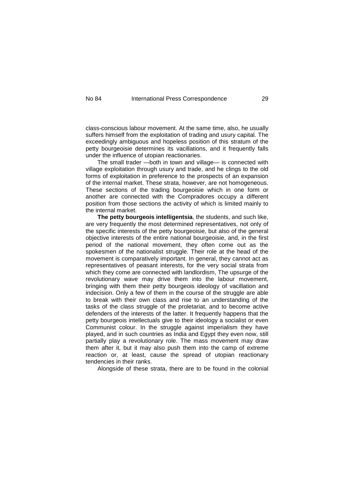class-conscious labour movement. At the same time, also, he usually suffers himself from the exploitation of trading and usury capital. The exceedingly ambiguous and hopeless position of this stratum of the petty bourgeoisie determines its vacillations, and it frequently falls under the influence of utopian reactionaries.

 The small trader —both in town and village— is connected with village exploitation through usury and trade, and he clings to the old forms of exploitation in preference to the prospects of an expansion of the internal market. These strata, however, are not homogeneous. These sections of the trading bourgeoisie which in one form or another are connected with the Compradores occupy a different position from those sections the activity of which is limited mainly to the internal market.

**The petty bourgeois intelligentsia**, the students, and such like, are very frequently the most determined representatives, not only of the specific interests of the petty bourgeoisie, but also of the general objective interests of the entire national bourgeoisie, and, in the first period of the national movement, they often come out as the spokesmen of the nationalist struggle. Their role at the head of the movement is comparatively important. In general, they cannot act as representatives of peasant interests, for the very social strata from which they come are connected with landlordism, The upsurge of the revolutionary wave may drive them into the labour movement, bringing with them their petty bourgeois ideology of vacillation and indecision. Only a few of them in the course of the struggle are able to break with their own class and rise to an understanding of the tasks of the class struggle of the proletariat, and to become active defenders of the interests of the latter. It frequently happens that the petty bourgeois intellectuals give to their ideology a socialist or even Communist colour. In the struggle against imperialism they have played, and in such countries as India and Egypt they even now, still partially play a revolutionary role. The mass movement may draw them after it, but it may also push them into the camp of extreme reaction or, at least, cause the spread of utopian reactionary tendencies in their ranks.

Alongside of these strata, there are to be found in the colonial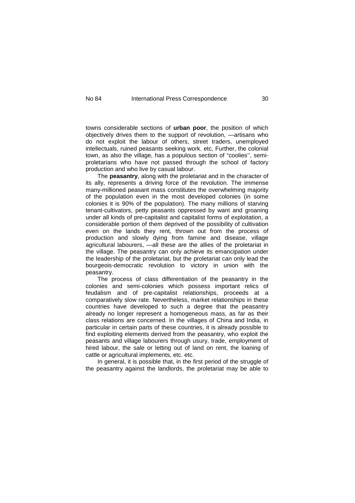towns considerable sections of **urban poor**, the position of which objectively drives them to the support of revolution, —artisans who do not exploit the labour of others, street traders, unemployed intellectuals, ruined peasants seeking work. etc, Further, the colonial town, as also the village, has a populous section of "coolies'', semiproletarians who have not passed through the school of factory production and who live by casual labour.

 The **peasantry**, along with the proletariat and in the character of its ally, represents a driving force of the revolution. The immense many-millioned peasant mass constitutes the overwhelming majority of the population even in the most developed colonies (in some colonies it is 90% of the population). The many millions of starving tenant-cultivators, petty peasants oppressed by want and groaning under all kinds of pre-capitalist and capitalist forms of exploitation, a considerable portion of them deprived of the possibility of cultivation even on the lands they rent, thrown out from the process of production and slowly dying from famine and disease, village agricultural labourers, —all these are the allies of the proletariat in the village. The peasantry can only achieve its emancipation under the leadership of the proletariat, but the proletariat can only lead the bourgeois-democratic revolution to victory in union with the peasantry.

 The process of class differentiation of the peasantry in the colonies and semi-colonies which possess important relics of feudalism and of pre-capitalist relationships, proceeds at a comparatively slow rate. Nevertheless, market relationships in these countries have developed to such a degree that the peasantry already no longer represent a homogeneous mass, as far as their class relations are concerned. In the villages of China and India, in particular in certain parts of these countries, it is already possible to find exploiting elements derived from the peasantry, who exploit the peasants and village labourers through usury, trade, employment of hired labour, the sale or letting out of land on rent, the loaning of cattle or agricultural implements, etc. etc.

 In general, it is possible that, in the first period of the struggle of the peasantry against the landlords, the proletariat may be able to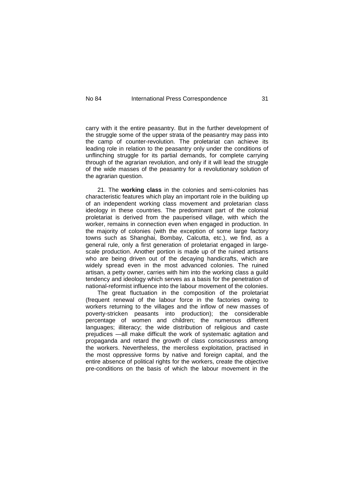carry with it the entire peasantry. But in the further development of the struggle some of the upper strata of the peasantry may pass into the camp of counter-revolution. The proletariat can achieve its leading role in relation to the peasantry only under the conditions of unflinching struggle for its partial demands, for complete carrying through of the agrarian revolution, and only if it will lead the struggle of the wide masses of the peasantry for a revolutionary solution of the agrarian question.

 21. The **working class** in the colonies and semi-colonies has characteristic features which play an important role in the building up of an independent working class movement and proletarian class ideology in these countries. The predominant part of the colonial proletariat is derived from the pauperised village, with which the worker, remains in connection even when engaged in production. In the majority of colonies (with the exception of some large factory towns such as Shanghai, Bombay, Calcutta, etc.), we find, as a general rule, only a first generation of proletariat engaged in largescale production. Another portion is made up of the ruined artisans who are being driven out of the decaying handicrafts, which are widely spread even in the most advanced colonies. The ruined artisan, a petty owner, carries with him into the working class a guild tendency and ideology which serves as a basis for the penetration of national-reformist influence into the labour movement of the colonies.

 The great fluctuation in the composition of the proletariat (frequent renewal of the labour force in the factories owing to workers returning to the villages and the inflow of new masses of poverty-stricken peasants into production); the considerable percentage of women and children; the numerous different languages; illiteracy; the wide distribution of religious and caste prejudices —all make difficult the work of systematic agitation and propaganda and retard the growth of class consciousness among the workers. Nevertheless, the merciless exploitation, practised in the most oppressive forms by native and foreign capital, and the entire absence of political rights for the workers, create the objective pre-conditions on the basis of which the labour movement in the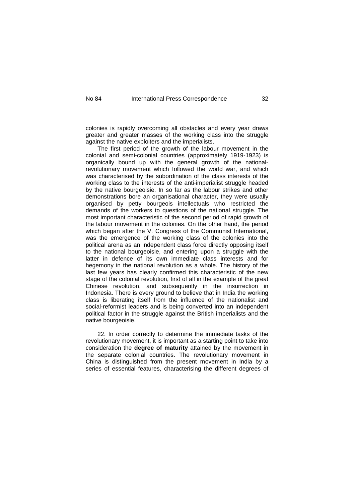colonies is rapidly overcoming all obstacles and every year draws greater and greater masses of the working class into the struggle against the native exploiters and the imperialists.

 The first period of the growth of the labour movement in the colonial and semi-colonial countries (approximately 1919-1923) is organically bound up with the general growth of the nationalrevolutionary movement which followed the world war, and which was characterised by the subordination of the class interests of the working class to the interests of the anti-imperialist struggle headed by the native bourgeoisie. In so far as the labour strikes and other demonstrations bore an organisational character, they were usually organised by petty bourgeois intellectuals who restricted the demands of the workers to questions of the national struggle. The most important characteristic of the second period of rapid growth of the labour movement in the colonies. On the other hand, the period which began after the V. Congress of the Communist International, was the emergence of the working class of the colonies into the political arena as an independent class force directly opposing itself to the national bourgeoisie, and entering upon a struggle with the latter in defence of its own immediate class interests and for hegemony in the national revolution as a whole. The history of the last few years has clearly confirmed this characteristic of the new stage of the colonial revolution, first of all in the example of the great Chinese revolution, and subsequently in the insurrection in Indonesia. There is every ground to believe that in India the working class is liberating itself from the influence of the nationalist and social-reformist leaders and is being converted into an independent political factor in the struggle against the British imperialists and the native bourgeoisie.

 22. In order correctly to determine the immediate tasks of the revolutionary movement, it is important as a starting point to take into consideration the **degree of maturity** attained by the movement in the separate colonial countries. The revolutionary movement in China is distinguished from the present movement in India by a series of essential features, characterising the different degrees of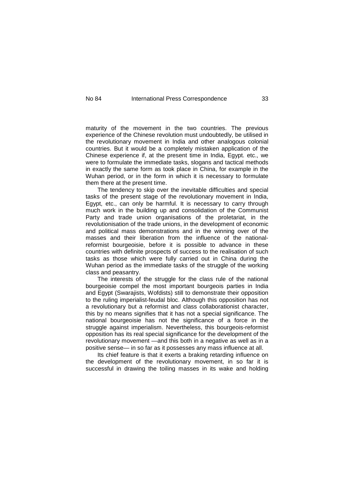maturity of the movement in the two countries. The previous experience of the Chinese revolution must undoubtedly, be utilised in the revolutionary movement in India and other analogous colonial countries. But it would be a completely mistaken application of the Chinese experience if, at the present time in India, Egypt. etc., we were to formulate the immediate tasks, slogans and tactical methods in exactly the same form as took place in China, for example in the Wuhan period, or in the form in which it is necessary to formulate them there at the present time.

 The tendency to skip over the inevitable difficulties and special tasks of the present stage of the revolutionary movement in India, Egypt, etc., can only be harmful. It is necessary to carry through much work in the building up and consolidation of the Communist Party and trade union organisations of the proletariat, in the revolutionisation of the trade unions, in the development of economic and political mass demonstrations and in the winning over of the masses and their liberation from the influence of the nationalreformist bourgeoisie, before it is possible to advance in these countries with definite prospects of success to the realisation of such tasks as those which were fully carried out in China during the Wuhan period as the immediate tasks of the struggle of the working class and peasantry.

 The interests of the struggle for the class rule of the national bourgeoisie compel the most important bourgeois parties in India and Egypt (Swarajists, Wofdists) still to demonstrate their opposition to the ruling imperialist-feudal bloc. Although this opposition has not a revolutionary but a reformist and class collaborationist character, this by no means signifies that it has not a special significance. The national bourgeoisie has not the significance of a force in the struggle against imperialism. Nevertheless, this bourgeois-reformist opposition has its real special significance for the development of the revolutionary movement —and this both in a negative as well as in a positive sense— in so far as it possesses any mass influence at all.

 Its chief feature is that it exerts a braking retarding influence on the development of the revolutionary movement, in so far it is successful in drawing the toiling masses in its wake and holding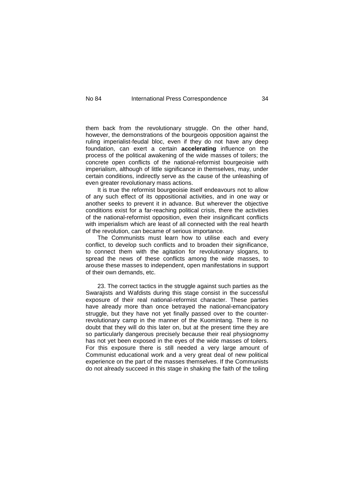them back from the revolutionary struggle. On the other hand, however, the demonstrations of the bourgeois opposition against the ruling imperialist-feudal bloc, even if they do not have any deep foundation, can exert a certain **accelerating** influence on the process of the political awakening of the wide masses of toilers; the concrete open conflicts of the national-reformist bourgeoisie with imperialism, although of little significance in themselves, may, under certain conditions, indirectly serve as the cause of the unleashing of even greater revolutionary mass actions.

 It is true the reformist bourgeoisie itself endeavours not to allow of any such effect of its oppositional activities, and in one way or another seeks to prevent it in advance. But wherever the objective conditions exist for a far-reaching political crisis, there the activities of the national-reformist opposition, even their insignificant conflicts with imperialism which are least of all connected with the real hearth of the revolution, can became of serious importance.

 The Communists must learn how to utilise each and every conflict, to develop such conflicts and to broaden their significance, to connect them with the agitation for revolutionary slogans, to spread the news of these conflicts among the wide masses, to arouse these masses to independent, open manifestations in support of their own demands, etc.

23. The correct tactics in the struggle against such parties as the Swarajists and Wafdists during this stage consist in the successful exposure of their real national-reformist character. These parties have already more than once betrayed the national-emancipatory struggle, but they have not yet finally passed over to the counterrevolutionary camp in the manner of the Kuomintang. There is no doubt that they will do this later on, but at the present time they are so particularly dangerous precisely because their real physiognomy has not yet been exposed in the eyes of the wide masses of toilers. For this exposure there is still needed a very large amount of Communist educational work and a very great deal of new political experience on the part of the masses themselves. If the Communists do not already succeed in this stage in shaking the faith of the toiling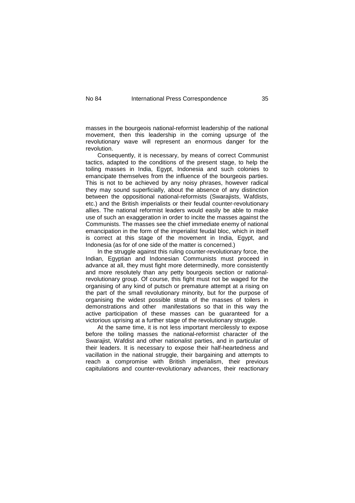masses in the bourgeois national-reformist leadership of the national movement, then this leadership in the coming upsurge of the revolutionary wave will represent an enormous danger for the revolution.

 Consequently, it is necessary, by means of correct Communist tactics, adapted to the conditions of the present stage, to help the toiling masses in India, Egypt, Indonesia and such colonies to emancipate themselves from the influence of the bourgeois parties. This is not to be achieved by any noisy phrases, however radical they may sound superficially, about the absence of any distinction between the oppositional national-reformists (Swarajists, Wafdists, etc.) and the British imperialists or their feudal counter-revolutionary allies. The national reformist leaders would easily be able to make use of such an exaggeration in order to incite the masses against the Communists. The masses see the chief immediate enemy of national emancipation in the form of the imperialist feudal bloc, which in itself is correct at this stage of the movement in India, Egypt, and Indonesia (as for of one side of the matter is concerned.)

 In the struggle against this ruling counter-revolutionary force, the Indian, Egyptian and Indonesian Communists must proceed in advance at all, they must fight more determinedly, more consistently and more resolutely than any petty bourgeois section or nationalrevolutionary group. Of course, this fight must not be waged for the organising of any kind of putsch or premature attempt at a rising on the part of the small revolutionary minority, but for the purpose of organising the widest possible strata of the masses of toilers in demonstrations and other manifestations so that in this way the active participation of these masses can be guaranteed for a victorious uprising at a further stage of the revolutionary struggle.

 At the same time, it is not less important mercilessly to expose before the toiling masses the national-reformist character of the Swarajist, Wafdist and other nationalist parties, and in particular of their leaders. It is necessary to expose their half-heartedness and vacillation in the national struggle, their bargaining and attempts to reach a compromise with British imperialism, their previous capitulations and counter-revolutionary advances, their reactionary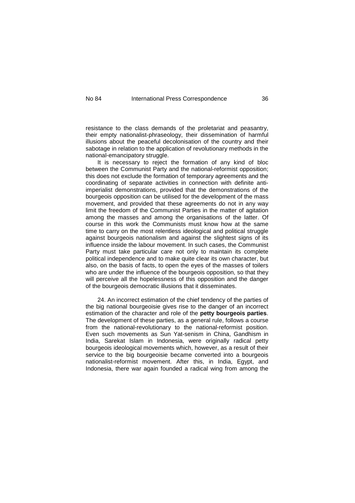resistance to the class demands of the proletariat and peasantry, their empty nationalist-phraseology, their dissemination of harmful illusions about the peaceful decolonisation of the country and their sabotage in relation to the application of revolutionary methods in the national-emancipatory struggle.

 It is necessary to reject the formation of any kind of bloc between the Communist Party and the national-reformist opposition; this does not exclude the formation of temporary agreements and the coordinating of separate activities in connection with definite antiimperialist demonstrations, provided that the demonstrations of the bourgeois opposition can be utilised for the development of the mass movement, and provided that these agreements do not in any way limit the freedom of the Communist Parties in the matter of agitation among the masses and among the organisations of the latter. Of course in this work the Communists must know how at the same time to carry on the most relentless ideological and political struggle against bourgeois nationalism and against the slightest signs of its influence inside the labour movement. In such cases, the Communist Party must take particular care not only to maintain its complete political independence and to make quite clear its own character, but also, on the basis of facts, to open the eyes of the masses of toilers who are under the influence of the bourgeois opposition, so that they will perceive all the hopelessness of this opposition and the danger of the bourgeois democratic illusions that it disseminates.

 24. An incorrect estimation of the chief tendency of the parties of the big national bourgeoisie gives rise to the danger of an incorrect estimation of the character and role of the **petty bourgeois parties**. The development of these parties, as a general rule, follows a course from the national-revolutionary to the national-reformist position. Even such movements as Sun Yat-senism in China, Gandhism in India, Sarekat Islam in Indonesia, were originally radical petty bourgeois ideological movements which, however, as a result of their service to the big bourgeoisie became converted into a bourgeois nationalist-reformist movement. After this, in India, Egypt, and Indonesia, there war again founded a radical wing from among the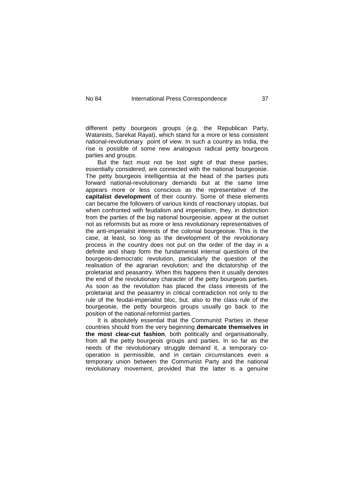different petty bourgeois groups (e.g. the Republican Party, Watanists, Sarekat Rayat), which stand for a more or less consistent national-revolutionary point of view. In such a country as India, the rise is possible of some new analogous radical petty bourgeois parties and groups.

 But the fact must not be lost sight of that these parties, essentially considered, are connected with the national bourgeoisie. The petty bourgeois intelligentsia at the head of the parties puts forward national-revolutionary demands but at the same time appears more or less conscious as the representative of the **capitalist development** of their country. Some of these elements can became the followers of various kinds of reactionary utopias, but when confronted with feudalism and imperialism, they, in distinction from the parties of the big national bourgeoisie, appear at the outset not as reformists but as more or less revolutionary representatives of the anti-imperialist interests of the colonial bourgeoisie. This is the case, at least, so long as the development of the revolutionary process in the country does not put on the order of the day in a definite and sharp form the fundamental internal questions of the bourgeois-democratic revolution, particularly the question of the realisation of the agrarian revolution; and the dictatorship of the proletariat and peasantry. When this happens then it usually denotes the end of the revolutionary character of the petty bourgeois parties. As soon as the revolution has placed the class interests of the proletariat and the peasantry in critical contradiction not only to the rule of the feudal-imperialist bloc, but. also to the class rule of the bourgeoisie, the petty bourgeois groups usually go back to the position of the national-reformist parties.

 It is absolutely essential that the Communist Parties in these countries should from the very beginning **demarcate themselves in the most clear-cut fashion**, both politically and organisationally, from all the petty bourgeois groups and parties. In so far as the needs of the revolutionary struggle demand it, a temporary cooperation is permissible, and in certain circumstances even a temporary union between the Communist Party and the national revolutionary movement, provided that the latter is a genuine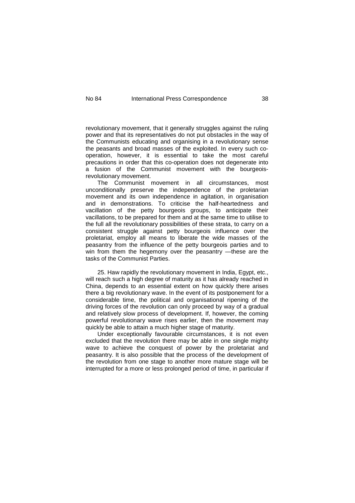revolutionary movement, that it generally struggles against the ruling power and that its representatives do not put obstacles in the way of the Communists educating and organising in a revolutionary sense the peasants and broad masses of the exploited. In every such cooperation, however, it is essential to take the most careful precautions in order that this co-operation does not degenerate into a fusion of the Communist movement with the bourgeoisrevolutionary movement.

 The Communist movement in all circumstances, most unconditionally preserve the independence of the proletarian movement and its own independence in agitation, in organisation and in demonstrations. To criticise the half-heartedness and vacillation of the petty bourgeois groups, to anticipate their vacillations, to be prepared for them and at the same time to utilise to the full all the revolutionary possibilities of these strata, to carry on a consistent struggle against petty bourgeois influence over the proletariat, employ all means to liberate the wide masses of the peasantry from the influence of the petty bourgeois parties and to win from them the hegemony over the peasantry —these are the tasks of the Communist Parties.

 25. Haw rapidly the revolutionary movement in India, Egypt, etc., will reach such a high degree of maturity as it has already reached in China, depends to an essential extent on how quickly there arises there a big revolutionary wave. In the event of its postponement for a considerable time, the political and organisational ripening of the driving forces of the revolution can only proceed by way of a gradual and relatively slow process of development. If, however, the coming powerful revolutionary wave rises earlier, then the movement may quickly be able to attain a much higher stage of maturity.

 Under exceptionally favourable circumstances, it is not even excluded that the revolution there may be able in one single mighty wave to achieve the conquest of power by the proletariat and peasantry. It is also possible that the process of the development of the revolution from one stage to another more mature stage will be interrupted for a more or less prolonged period of time, in particular if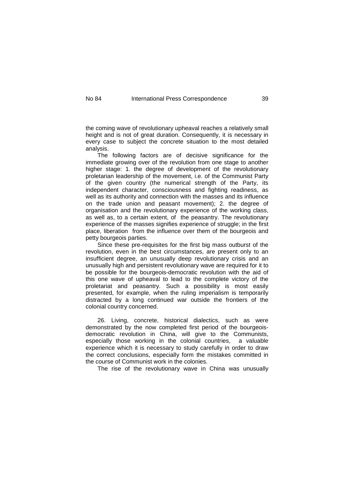the coming wave of revolutionary upheaval reaches a relatively small height and is not of great duration. Consequently, it is necessary in every case to subject the concrete situation to the most detailed analysis.

 The following factors are of decisive significance for the immediate growing over of the revolution from one stage to another higher stage: 1. the degree of development of the revolutionary proletarian leadership of the movement, i.e. of the Communist Party of the given country (the numerical strength of the Party, its independent character, consciousness and fighting readiness, as well as its authority and connection with the masses and its influence on the trade union and peasant movement); 2. the degree of organisation and the revolutionary experience of the working class, as well as, to a certain extent, of the peasantry. The revolutionary experience of the masses signifies experience of struggle; in the first place, liberation from the influence over them of the bourgeois and petty bourgeois parties.

 Since these pre-requisites for the first big mass outburst of the revolution, even in the best circumstances, are present only to an insufficient degree, an unusually deep revolutionary crisis and an unusually high and persistent revolutionary wave are required for it to be possible for the bourgeois-democratic revolution with the aid of this one wave of upheaval to lead to the complete victory of the proletariat and peasantry. Such a possibility is most easily presented, for example, when the ruling imperialism is temporarily distracted by a long continued war outside the frontiers of the colonial country concerned.

 26. Living, concrete, historical dialectics, such as were demonstrated by the now completed first period of the bourgeoisdemocratic revolution in China, will give to the Communists, especially those working in the colonial countries, a valuable experience which it is necessary to study carefully in order to draw the correct conclusions, especially form the mistakes committed in the course of Communist work in the colonies.

The rise of the revolutionary wave in China was unusually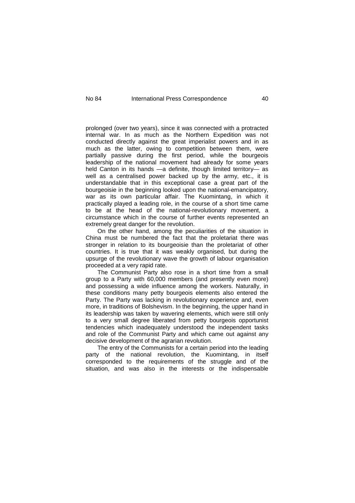prolonged (over two years), since it was connected with a protracted internal war. In as much as the Northern Expedition was not conducted directly against the great imperialist powers and in as much as the latter, owing to competition between them, were partially passive during the first period, while the bourgeois leadership of the national movement had already for some years held Canton in its hands —a definite, though limited territory— as well as a centralised power backed up by the army, etc., it is understandable that in this exceptional case a great part of the bourgeoisie in the beginning looked upon the national-emancipatory, war as its own particular affair. The Kuomintang, in which it practically played a leading role, in the course of a short time came to be at the head of the national-revolutionary movement, a circumstance which in the course of further events represented an extremely great danger for the revolution.

 On the other hand, among the peculiarities of the situation in China must be numbered the fact that the proletariat there was stronger in relation to its bourgeoisie than the proletariat of other countries. It is true that it was weakly organised, but during the upsurge of the revolutionary wave the growth of labour organisation proceeded at a very rapid rate.

 The Communist Party also rose in a short time from a small group to a Party with 60,000 members (and presently even more) and possessing a wide influence among the workers. Naturally, in these conditions many petty bourgeois elements also entered the Party. The Party was lacking in revolutionary experience and, even more, in traditions of Bolshevism. In the beginning, the upper hand in its leadership was taken by wavering elements, which were still only to a very small degree liberated from petty bourgeois opportunist tendencies which inadequately understood the independent tasks and role of the Communist Party and which came out against any decisive development of the agrarian revolution.

 The entry of the Communists for a certain period into the leading party of the national revolution, the Kuomintang, in itself corresponded to the requirements of the struggle and of the situation, and was also in the interests or the indispensable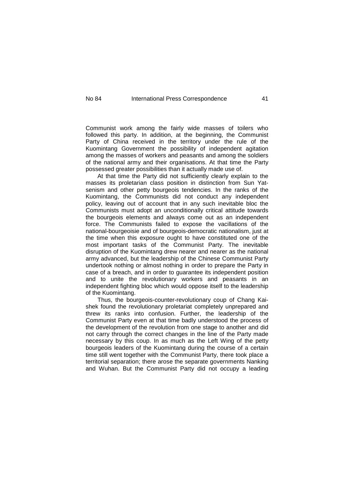Communist work among the fairly wide masses of toilers who followed this party. In addition, at the beginning, the Communist Party of China received in the territory under the rule of the Kuomintang Government the possibility of independent agitation among the masses of workers and peasants and among the soldiers of the national army and their organisations. At that time the Party possessed greater possibilities than it actually made use of.

 At that time the Party did not sufficiently clearly explain to the masses its proletarian class position in distinction from Sun Yatsenism and other petty bourgeois tendencies. In the ranks of the Kuomintang, the Communists did not conduct any independent policy, leaving out of account that in any such inevitable bloc the Communists must adopt an unconditionally critical attitude towards the bourgeois elements and always come out as an independent force. The Communists failed to expose the vacillations of the national-bourgeoisie and of bourgeois-democratic nationalism, just at the time when this exposure ought to have constituted one of the most important tasks of the Communist Party. The inevitable disruption of the Kuomintang drew nearer and nearer as the national army advanced, but the leadership of the Chinese Communist Party undertook nothing or almost nothing in order to prepare the Party in case of a breach, and in order to guarantee its independent position and to unite the revolutionary workers and peasants in an independent fighting bloc which would oppose itself to the leadership of the Kuomintang.

 Thus, the bourgeois-counter-revolutionary coup of Chang Kaishek found the revolutionary proletariat completely unprepared and threw its ranks into confusion. Further, the leadership of the Communist Party even at that time badly understood the process of the development of the revolution from one stage to another and did not carry through the correct changes in the line of the Party made necessary by this coup. In as much as the Left Wing of the petty bourgeois leaders of the Kuomintang during the course of a certain time still went together with the Communist Party, there took place a territorial separation; there arose the separate governments Nanking and Wuhan. But the Communist Party did not occupy a leading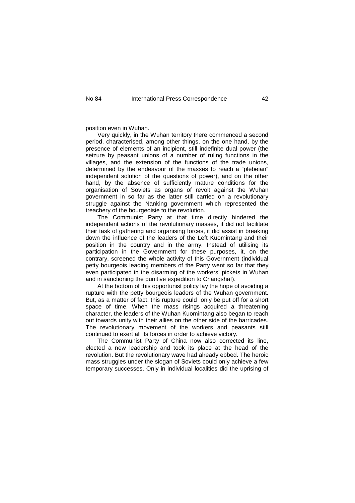position even in Wuhan.

 Very quickly, in the Wuhan territory there commenced a second period, characterised, among other things, on the one hand, by the presence of elements of an incipient, still indefinite dual power (the seizure by peasant unions of a number of ruling functions in the villages, and the extension of the functions of the trade unions, determined by the endeavour of the masses to reach a "plebeian" independent solution of the questions of power), and on the other hand, by the absence of sufficiently mature conditions for the organisation of Soviets as organs of revolt against the Wuhan government in so far as the latter still carried on a revolutionary struggle against the Nanking government which represented the treachery of the bourgeoisie to the revolution.

 The Communist Party at that time directly hindered the independent actions of the revolutionary masses, it did not facilitate their task of gathering and organising forces, it did assist in breaking down the influence of the leaders of the Left Kuomintang and their position in the country and in the army. Instead of utilising its participation in the Government for these purposes, it, on the contrary, screened the whole activity of this Government (individual petty bourgeois leading members of the Party went so far that they even participated in the disarming of the workers' pickets in Wuhan and in sanctioning the punitive expedition to Changsha!).

 At the bottom of this opportunist policy lay the hope of avoiding a rupture with the petty bourgeois leaders of the Wuhan government. But, as a matter of fact, this rupture could only be put off for a short space of time. When the mass risings acquired a threatening character, the leaders of the Wuhan Kuomintang also began to reach out towards unity with their allies on the other side of the barricades. The revolutionary movement of the workers and peasants still continued to exert all its forces in order to achieve victory.

 The Communist Party of China now also corrected its line, elected a new leadership and took its place at the head of the revolution. But the revolutionary wave had already ebbed. The heroic mass struggles under the slogan of Soviets could only achieve a few temporary successes. Only in individual localities did the uprising of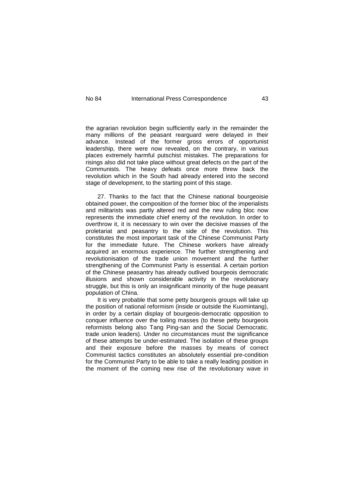the agrarian revolution begin sufficiently early in the remainder the many millions of the peasant rearguard were delayed in their advance. Instead of the former gross errors of opportunist leadership, there were now revealed, on the contrary, in various places extremely harmful putschist mistakes. The preparations for risings also did not take place without great defects on the part of the Communists. The heavy defeats once more threw back the revolution which in the South had already entered into the second stage of development, to the starting point of this stage.

 27. Thanks to the fact that the Chinese national bourgeoisie obtained power, the composition of the former bloc of the imperialists and militarists was partly altered red and the new ruling bloc now represents the immediate chief enemy of the revolution. In order to overthrow it, it is necessary to win over the decisive masses of the proletariat and peasantry to the side of the revolution. This constitutes the most important task of the Chinese Communist Party for the immediate future. The Chinese workers have already acquired an enormous experience. The further strengthening and revolutionisation of the trade union movement and the further strengthening of the Communist Party is essential. A certain portion of the Chinese peasantry has already outlived bourgeois democratic illusions and shown considerable activity in the revolutionary struggle, but this is only an insignificant minority of the huge peasant population of China.

 It is very probable that some petty bourgeois groups will take up the position of national reformism (inside or outside the Kuomintang), in order by a certain display of bourgeois-democratic opposition to conquer influence over the toiling masses (to these petty bourgeois reformists belong also Tang Ping-san and the Social Democratic. trade union leaders). Under no circumstances must the significance of these attempts be under-estimated. The isolation of these groups and their exposure before the masses by means of correct Communist tactics constitutes an absolutely essential pre-condition for the Communist Party to be able to take a really leading position in the moment of the coming new rise of the revolutionary wave in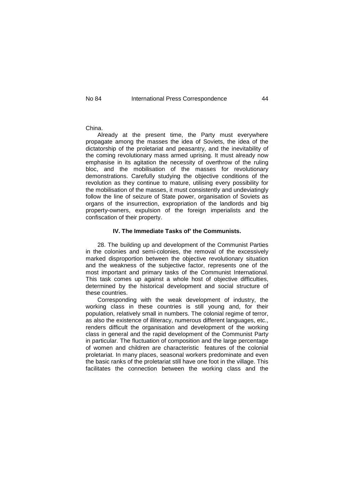#### China.

 Already at the present time, the Party must everywhere propagate among the masses the idea of Soviets, the idea of the dictatorship of the proletariat and peasantry, and the inevitability of the coming revolutionary mass armed uprising. It must already now emphasise in its agitation the necessity of overthrow of the ruling bloc, and the mobilisation of the masses for revolutionary demonstrations. Carefully studying the objective conditions of the revolution as they continue to mature, utilising every possibility for the mobilisation of the masses, it must consistently and undeviatingly follow the line of seizure of State power, organisation of Soviets as organs of the insurrection, expropriation of the landlords and big property-owners, expulsion of the foreign imperialists and the confiscation of their property.

## **IV. The Immediate Tasks of' the Communists.**

 28. The building up and development of the Communist Parties in the colonies and semi-colonies, the removal of the excessively marked disproportion between the objective revolutionary situation and the weakness of the subjective factor, represents one of the most important and primary tasks of the Communist International. This task comes up against a whole host of objective difficulties, determined by the historical development and social structure of these countries.

 Corresponding with the weak development of industry, the working class in these countries is still young and, for their population, relatively small in numbers. The colonial regime of terror, as also the existence of illiteracy, numerous different languages, etc., renders difficult the organisation and development of the working class in general and the rapid development of the Communist Party in particular. The fluctuation of composition and the large percentage of women and children are characteristic features of the colonial proletariat. In many places, seasonal workers predominate and even the basic ranks of the proletariat still have one foot in the village. This facilitates the connection between the working class and the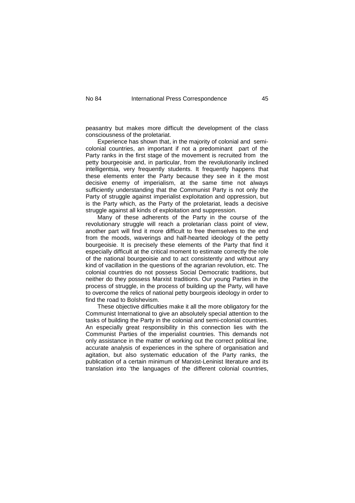peasantry but makes more difficult the development of the class consciousness of the proletariat.

 Experience has shown that, in the majority of colonial and semicolonial countries, an important if not a predominant part of the Party ranks in the first stage of the movement is recruited from the petty bourgeoisie and, in particular, from the revolutionarily inclined intelligentsia, very frequently students. It frequently happens that these elements enter the Party because they see in it the most decisive enemy of imperialism, at the same time not always sufficiently understanding that the Communist Party is not only the Party of struggle against imperialist exploitation and oppression, but is the Party which, as the Party of the proletariat, leads a decisive struggle against all kinds of exploitation and suppression.

 Many of these adherents of the Party in the course of the revolutionary struggle will reach a proletarian class point of view, another part will find it more difficult to free themselves to the end from the moods, waverings and half-hearted ideology of the petty bourgeoisie. It is precisely these elements of the Party that find it especially difficult at the critical moment to estimate correctly the role of the national bourgeoisie and to act consistently and without any kind of vacillation in the questions of the agrarian revolution, etc. The colonial countries do not possess Social Democratic traditions, but neither do they possess Marxist traditions. Our young Parties in the process of struggle, in the process of building up the Party, will have to overcome the relics of national petty bourgeois ideology in order to find the road to Bolshevism.

 These objective difficulties make it all the more obligatory for the Communist International to give an absolutely special attention to the tasks of building the Party in the colonial and semi-colonial countries. An especially great responsibility in this connection lies with the Communist Parties of the imperialist countries. This demands not only assistance in the matter of working out the correct political line, accurate analysis of experiences in the sphere of organisation and agitation, but also systematic education of the Party ranks, the publication of a certain minimum of Marxist-Leninist literature and its translation into 'the languages of the different colonial countries,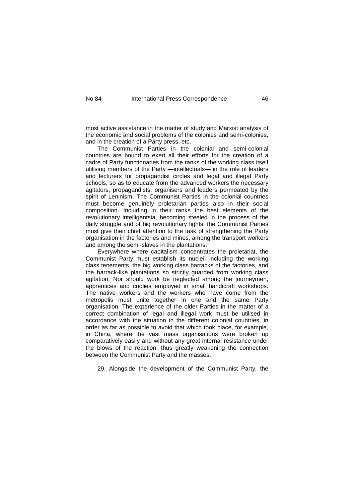most active assistance in the matter of study and Marxist analysis of the economic and social problems of the colonies and semi-colonies, and in the creation of a Party press, etc.

 The Communist Parties in the colonial and semi-colonial countries are bound to exert all their efforts for the creation of a cadre of Party functionaries from the ranks of the working class itself utilising members of the Party —intellectuals— in the role of leaders and lecturers for propagandist circles and legal and illegal Party schools, so as to educate from the advanced workers the necessary agitators, propagandists, organisers and leaders permeated by the spirit of Leninism. The Communist Parties in the colonial countries must become genuinely proletarian parties also in their social composition. Including in their ranks the best elements of the revolutionary intelligentsia, becoming steeled in the process of the daily struggle and of big revolutionary fights, the Communist Parties must give their chief attention to the task of strengthening the Party organisation in the factories and mines, among the transport workers and among the semi-slaves in the plantations.

 Everywhere where capitalism concentrates the proletariat, the Communist Party must establish its nuclei, including the working class tenements, the big working class barracks of the factories, and the barrack-like plantations so strictly guarded from working class agitation. Nor should work be neglected among the journeymen, apprentices and coolies employed in small handicraft workshops. The native workers and the workers who have come from the metropolis must unite together in one and the same Party organisation. The experience of the older Parties in the matter of a correct combination of legal and illegal work must be utilised in accordance with the situation in the different colonial countries, in order as far as possible to avoid that which took place, for example, in China, where the vast mass organisations were broken up comparatively easily and without any great internal resistance under the blows of the reaction, thus greatly weakening the connection between the Communist Party and the masses.

29. Alongside the development of the Communist Party, the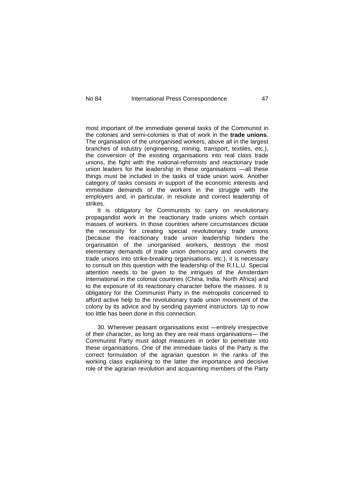most important of the immediate general tasks of the Communist in the colonies and semi-colonies is that of work in the **trade unions**. The organisation of the unorganised workers, above all in the largest branches of industry (engineering, mining, transport, textiles, etc.), the conversion of the existing organisations into real class trade unions, the fight with the national-reformists and reactionary trade union leaders for the leadership in these organisations —all these things must be included in the tasks of trade union work. Another category of tasks consists in support of the economic interests and immediate demands of the workers in the struggle with the employers and, in particular, in resolute and correct leadership of strikes.

 It is obligatory for Communists to carry on revolutionary propagandist work in the reactionary trade unions which contain masses of workers. In those countries where circumstances dictate the necessity for creating special revolutionary trade unions (because the reactionary trade union leadership hinders the organisation of the unorganised workers, destroys the most elementary demands of trade union democracy and converts the trade unions into strike-breaking organisations, etc.), it is necessary to consult on this question with the leadership of the R.I.L.U. Special attention needs to be given to the intrigues of the Amsterdam International in the colonial countries (China, India. North Africa) and to the exposure of its reactionary character before the masses. It is obligatory for the Communist Party in the metropolis concerned to afford active help to the revolutionary trade union movement of the colony by its advice and by sending payment instructors. Up to now too little has been done in this connection.

 30. Wherever peasant organisations exist —entirely irrespective of their character, as long as they are real mass organisations— the Communist Party must adopt measures in order to penetrate into these organisations. One of the immediate tasks of the Party is the correct formulation of the agrarian question in the ranks of the working class explaining to the latter the importance and decisive role of the agrarian revolution and acquainting members of the Party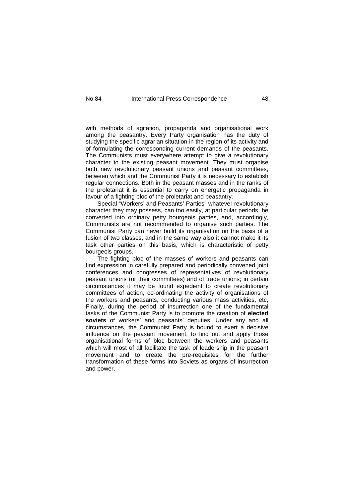with methods of agitation, propaganda and organisational work among the peasantry. Every Party organisation has the duty of studying the specific agrarian situation in the region of its activity and of formulating the corresponding current demands of the peasants. The Communists must everywhere attempt to give a revolutionary character to the existing peasant movement. They must organise both new revolutionary peasant unions and peasant committees, between which and the Communist Party it is necessary to establish regular connections. Both in the peasant masses and in the ranks of the proletariat it is essential to carry on energetic propaganda in favour of a fighting bloc of the proletariat and peasantry.

 Special "Workers' and Peasants' Parties" whatever revolutionary character they may possess, can too easily, at particular periods, be converted into ordinary petty bourgeois parties, and, accordingly, Communists are not recommended to organise such parties. The Communist Party can never build its organisation on the basis of a fusion of two classes, and in the same way also it cannot make it its task other parties on this basis, which is characteristic of petty bourgeois groups.

 The fighting bloc of the masses of workers and peasants can find expression in carefully prepared and periodically convened joint conferences and congresses of representatives of revolutionary peasant unions (or their committees) and of trade unions; in certain circumstances it may be found expedient to create revolutionary committees of action, co-ordinating the activity of organisations of the workers and peasants, conducting various mass activities, etc, Finally, during the period of insurrection one of the fundamental tasks of the Communist Party is to promote the creation of **elected soviets** of workers' and peasants' deputies. Under any and all circumstances, the Communist Party is bound to exert a decisive influence on the peasant movement, to find out and apply those organisational forms of bloc between the workers and peasants which will most of all facilitate the task of leadership in the peasant movement and to create the pre-requisites for the further transformation of these forms into Soviets as organs of insurrection and power.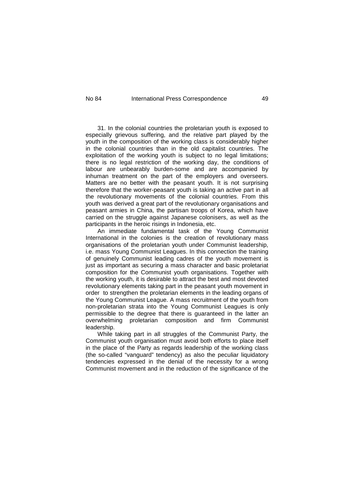31. In the colonial countries the proletarian youth is exposed to especially grievous suffering, and the relative part played by the youth in the composition of the working class is considerably higher in the colonial countries than in the old capitalist countries. The exploitation of the working youth is subject to no legal limitations; there is no legal restriction of the working day, the conditions of labour are unbearably burden-some and are accompanied by inhuman treatment on the part of the employers and overseers. Matters are no better with the peasant youth. It is not surprising therefore that the worker-peasant youth is taking an active part in all the revolutionary movements of the colonial countries. From this youth was derived a great part of the revolutionary organisations and peasant armies in China, the partisan troops of Korea, which have carried on the struggle against Japanese colonisers, as well as the participants in the heroic risings in Indonesia, etc.

 An immediate fundamental task of the Young Communist International in the colonies is the creation of revolutionary mass organisations of the proletarian youth under Communist leadership, i.e. mass Young Communist Leagues. In this connection the training of genuinely Communist leading cadres of the youth movement is just as important as securing a mass character and basic proletariat composition for the Communist youth organisations. Together with the working youth, it is desirable to attract the best and most devoted revolutionary elements taking part in the peasant youth movement in order to strengthen the proletarian elements in the leading organs of the Young Communist League. A mass recruitment of the youth from non-proletarian strata into the Young Communist Leagues is only permissible to the degree that there is guaranteed in the latter an overwhelming proletarian composition and firm Communist leadership.

 While taking part in all struggles of the Communist Party, the Communist youth organisation must avoid both efforts to place itself in the place of the Party as regards leadership of the working class (the so-called "vanguard" tendency) as also the peculiar liquidatory tendencies expressed in the denial of the necessity for a wrong Communist movement and in the reduction of the significance of the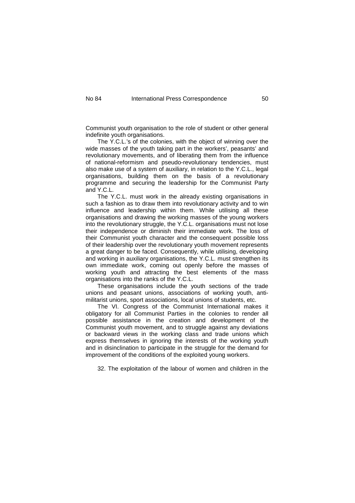Communist youth organisation to the role of student or other general indefinite youth organisations.

 The Y.C.L.'s of the colonies, with the object of winning over the wide masses of the youth taking part in the workers', peasants' and revolutionary movements, and of liberating them from the influence of national-reformism and pseudo-revolutionary tendencies, must also make use of a system of auxiliary, in relation to the Y.C.L., legal organisations, building them on the basis of a revolutionary programme and securing the leadership for the Communist Party and Y.C.L.

 The Y.C.L. must work in the already existing organisations in such a fashion as to draw them into revolutionary activity and to win influence and leadership within them. While utilising all these organisations and drawing the working masses of the young workers into the revolutionary struggle, the Y.C.L. organisations must not lose their independence or diminish their immediate work. The loss of their Communist youth character and the consequent possible loss of their leadership over the revolutionary youth movement represents a great danger to be faced. Consequently, while utilising, developing and working in auxiliary organisations, the Y.C.L. must strengthen its own immediate work, coming out openly before the masses of working youth and attracting the best elements of the mass organisations into the ranks of the Y.C.L.

 These organisations include the youth sections of the trade unions and peasant unions, associations of working youth, antimilitarist unions, sport associations, local unions of students, etc.

 The VI. Congress of the Communist International makes it obligatory for all Communist Parties in the colonies to render all possible assistance in the creation and development of the Communist youth movement, and to struggle against any deviations or backward views in the working class and trade unions which express themselves in ignoring the interests of the working youth and in disinclination to participate in the struggle for the demand for improvement of the conditions of the exploited young workers.

32. The exploitation of the labour of women and children in the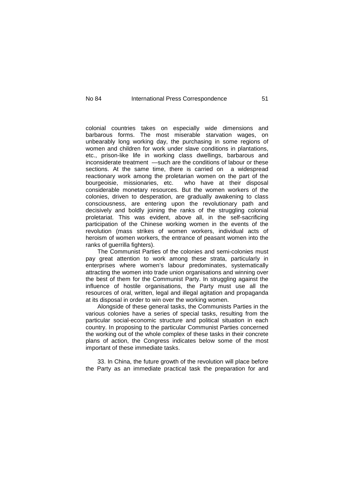colonial countries takes on especially wide dimensions and barbarous forms. The most miserable starvation wages, on unbearably long working day, the purchasing in some regions of women and children for work under slave conditions in plantations, etc., prison-like life in working class dwellings, barbarous and inconsiderate treatment —such are the conditions of labour or these sections. At the same time, there is carried on a widespread reactionary work among the proletarian women on the part of the bourgeoisie, missionaries, etc. who have at their disposal considerable monetary resources. But the women workers of the colonies, driven to desperation, are gradually awakening to class consciousness, are entering upon the revolutionary path and decisively and boldly joining the ranks of the struggling colonial proletariat. This was evident, above all, in the self-sacrificing participation of the Chinese working women in the events of the revolution (mass strikes of women workers, individual acts of heroism of women workers, the entrance of peasant women into the ranks of guerrilla fighters).

 The Communist Parties of the colonies and semi-colonies must pay great attention to work among these strata, particularly in enterprises where women's labour predominates, systematically attracting the women into trade union organisations and winning over the best of them for the Communist Party. In struggling against the influence of hostile organisations, the Party must use all the resources of oral, written, legal and illegal agitation and propaganda at its disposal in order to win over the working women.

 Alongside of these general tasks, the Communists Parties in the various colonies have a series of special tasks, resulting from the particular social-economic structure and political situation in each country. In proposing to the particular Communist Parties concerned the working out of the whole complex of these tasks in their concrete plans of action, the Congress indicates below some of the most important of these immediate tasks.

 33. In China, the future growth of the revolution will place before the Party as an immediate practical task the preparation for and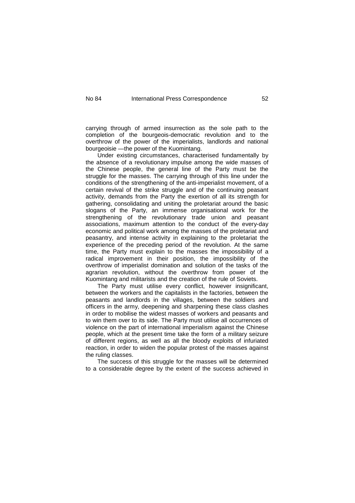carrying through of armed insurrection as the sole path to the completion of the bourgeois-democratic revolution and to the overthrow of the power of the imperialists, landlords and national bourgeoisie —the power of the Kuomintang.

 Under existing circumstances, characterised fundamentally by the absence of a revolutionary impulse among the wide masses of the Chinese people, the general line of the Party must be the struggle for the masses. The carrying through of this line under the conditions of the strengthening of the anti-imperialist movement, of a certain revival of the strike struggle and of the continuing peasant activity, demands from the Party the exertion of all its strength for gathering, consolidating and uniting the proletariat around the basic slogans of the Party, an immense organisational work for the strengthening of the revolutionary trade union and peasant associations, maximum attention to the conduct of the every-day economic and political work among the masses of the proletariat and peasantry, and intense activity in explaining to the proletariat the experience of the preceding period of the revolution. At the same time, the Party must explain to the masses the impossibility of a radical improvement in their position, the impossibility of the overthrow of imperialist domination and solution of the tasks of the agrarian revolution, without the overthrow from power of the Kuomintang and militarists and the creation of the rule of Soviets.

 The Party must utilise every conflict, however insignificant, between the workers and the capitalists in the factories, between the peasants and landlords in the villages, between the soldiers and officers in the army, deepening and sharpening these class clashes in order to mobilise the widest masses of workers and peasants and to win them over to its side. The Party must utilise all occurrences of violence on the part of international imperialism against the Chinese people, which at the present time take the form of a military seizure of different regions, as well as all the bloody exploits of infuriated reaction, in order to widen the popular protest of the masses against the ruling classes.

 The success of this struggle for the masses will be determined to a considerable degree by the extent of the success achieved in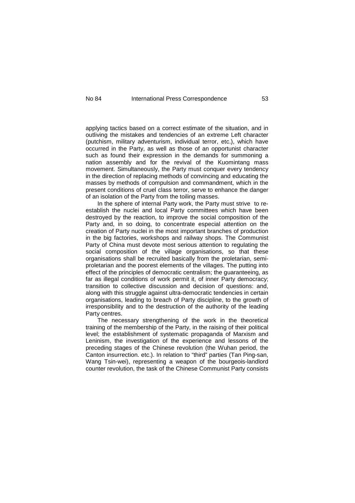applying tactics based on a correct estimate of the situation, and in outliving the mistakes and tendencies of an extreme Left character (putchism, military adventurism, individual terror, etc.), which have occurred in the Party, as well as those of an opportunist character such as found their expression in the demands for summoning a nation assembly and for the revival of the Kuomintang mass movement. Simultaneously, the Party must conquer every tendency in the direction of replacing methods of convincing and educating the masses by methods of compulsion and commandment, which in the present conditions of cruel class terror, serve to enhance the danger of an isolation of the Party from the toiling masses.

 In the sphere of internal Party work, the Party must strive to reestablish the nuclei and local Party committees which have been destroyed by the reaction, to improve the social composition of the Party and, in so doing, to concentrate especial attention on the creation of Party nuclei in the most important branches of production in the big factories, workshops and railway shops. The Communist Party of China must devote most serious attention to regulating the social composition of the village organisations, so that these organisations shall be recruited basically from the proletarian, semiproletarian and the poorest elements of the villages. The putting into effect of the principles of democratic centralism; the guaranteeing, as far as illegal conditions of work permit it, of inner Party democracy; transition to collective discussion and decision of questions: and, along with this struggle against ultra-democratic tendencies in certain organisations, leading to breach of Party discipline, to the growth of irresponsibility and to the destruction of the authority of the leading Party centres.

 The necessary strengthening of the work in the theoretical training of the membership of the Party, in the raising of their political level; the establishment of systematic propaganda of Marxism and Leninism, the investigation of the experience and lessons of the preceding stages of the Chinese revolution (the Wuhan period, the Canton insurrection. etc.). In relation to "third" parties (Tan Ping-san, Wang Tsin-wei), representing a weapon of the bourgeois-landlord counter revolution, the task of the Chinese Communist Party consists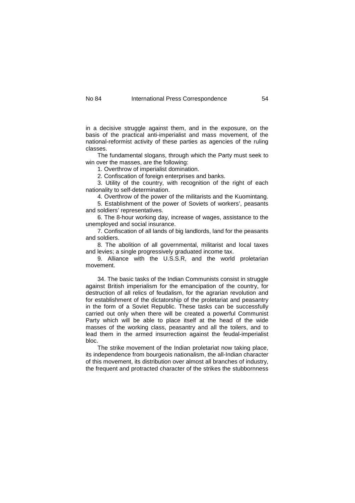in a decisive struggle against them, and in the exposure, on the basis of the practical anti-imperialist and mass movement, of the national-reformist activity of these parties as agencies of the ruling classes.

 The fundamental slogans, through which the Party must seek to win over the masses, are the following:

1. Overthrow of imperialist domination.

2. Confiscation of foreign enterprises and banks.

 3. Utility of the country, with recognition of the right of each nationality to self-determination.

4. Overthrow of the power of the militarists and the Kuomintang.

 5. Establishment of the power of Soviets of workers', peasants and soldiers' representatives.

 6. The 8-hour working day, increase of wages, assistance to the unemployed and social insurance.

 7. Confiscation of all lands of big landlords, land for the peasants and soldiers.

 8. The abolition of all governmental, militarist and local taxes and levies; a single progressively graduated income tax.

 9. Alliance with the U.S.S.R, and the world proletarian movement.

 34. The basic tasks of the Indian Communists consist in struggle against British imperialism for the emancipation of the country, for destruction of all relics of feudalism, for the agrarian revolution and for establishment of the dictatorship of the proletariat and peasantry in the form of a Soviet Republic. These tasks can be successfully carried out only when there will be created a powerful Communist Party which will be able to place itself at the head of the wide masses of the working class, peasantry and all the toilers, and to lead them in the armed insurrection against the feudal-imperialist bloc.

 The strike movement of the Indian proletariat now taking place, its independence from bourgeois nationalism, the all-Indian character of this movement, its distribution over almost all branches of industry, the frequent and protracted character of the strikes the stubbornness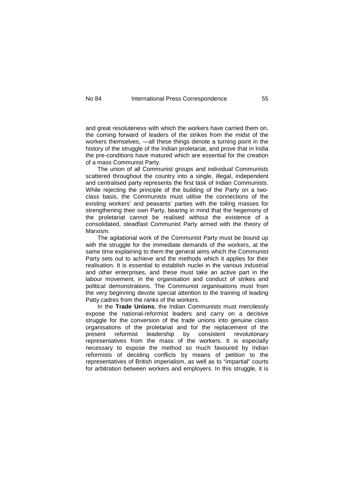and great resoluteness with which the workers have carried them on, the coming forward of leaders of the strikes from the midst of the workers themselves, —all these things denote a turning point in the history of the struggle of the Indian proletariat, and prove that in India the pre-conditions have matured which are essential for the creation of a mass Communist Party.

 The union of all Communist groups and individual Communists scattered throughout the country into a single, illegal, independent and centralised party represents the first task of Indian Communists. While rejecting the principle of the building of the Party on a twoclass basis, the Communists must utilise the connections of the existing workers' and peasants' parties with the toiling masses for strengthening their own Party, bearing in mind that the hegemony of the proletariat cannot be realised without the existence of a consolidated, steadfast Communist Party armed with the theory of Marxism.

 The agitational work of the Communist Party must be bound up with the struggle for the immediate demands of the workers, at the same time explaining to them the general aims which the Communist Party sets out to achieve and the methods which it applies for their realisation. It is essential to establish nuclei in the various industrial and other enterprises, and these must take an active part in the labour movement, in the organisation and conduct of strikes and political demonstrations. The Communist organisations must from the very beginning devote special attention to the training of leading Patty cadres from the ranks of the workers.

 In the **Trade Unions**, the Indian Communists must mercilessly expose the national-reformist leaders and carry on a decisive struggle for the conversion of the trade unions into genuine class organisations of the proletariat and for the replacement of the present reformist leadership by consistent revolutionary representatives from the mass of the workers. It is especially necessary to expose the method so much favoured by Indian reformists of deciding conflicts by means of petition to the representatives of British imperialism, as well as to "impartial" courts for arbitration between workers and employers. In this struggle, it is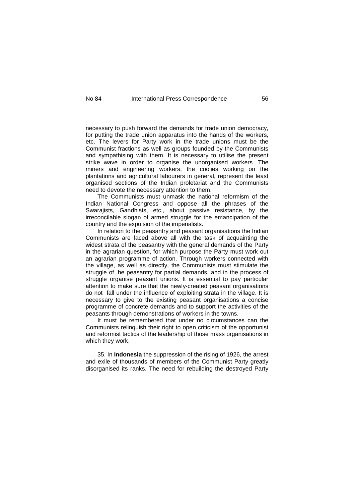necessary to push forward the demands for trade union democracy, for putting the trade union apparatus into the hands of the workers, etc. The levers for Party work in the trade unions must be the Communist fractions as well as groups founded by the Communists and sympathising with them. It is necessary to utilise the present strike wave in order to organise the unorganised workers. The miners and engineering workers, the coolies working on the plantations and agricultural labourers in general, represent the least organised sections of the Indian proletariat and the Communists need to devote the necessary attention to them.

 The Communists must unmask the national reformism of the Indian National Congress and oppose all the phrases of the Swarajists, Gandhists, etc., about passive resistance, by the irreconcilable slogan of armed struggle for the emancipation of the country and the expulsion of the imperialists.

 In relation to the peasantry and peasant organisations the Indian Communists are faced above all with the task of acquainting the widest strata of the peasantry with the general demands of the Party in the agrarian question, for which purpose the Party must work out an agrarian programme of action. Through workers connected with the village, as well as directly, the Communists must stimulate the struggle of ,he peasantry for partial demands, and in the process of struggle organise peasant unions. It is essential to pay particular attention to make sure that the newly-created peasant organisations do not fall under the influence of exploiting strata in the village. It is necessary to give to the existing peasant organisations a concise programme of concrete demands and to support the activities of the peasants through demonstrations of workers in the towns.

 It must be remembered that under no circumstances can the Communists relinquish their right to open criticism of the opportunist and reformist tactics of the leadership of those mass organisations in which they work.

 35. In **Indonesia** the suppression of the rising of 1926, the arrest and exile of thousands of members of the Communist Party greatly disorganised its ranks. The need for rebuilding the destroyed Party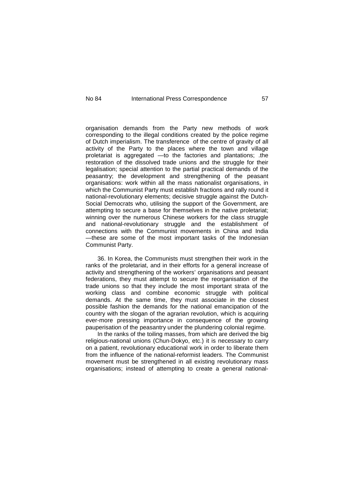organisation demands from the Party new methods of work corresponding to the illegal conditions created by the police regime of Dutch imperialism. The transference of the centre of gravity of all activity of the Party to the places where the town and village proletariat is aggregated —to the factories and plantations; .the restoration of the dissolved trade unions and the struggle for their legalisation; special attention to the partial practical demands of the peasantry; the development and strengthening of the peasant organisations: work within all the mass nationalist organisations, in which the Communist Party must establish fractions and rally round it national-revolutionary elements; decisive struggle against the Dutch-Social Democrats who, utilising the support of the Government, are attempting to secure a base for themselves in the native proletariat; winning over the numerous Chinese workers for the class struggle and national-revolutionary struggle and the establishment of connections with the Communist movements in China and India —these are some of the most important tasks of the Indonesian Communist Party.

 36. In Korea, the Communists must strengthen their work in the ranks of the proletariat, and in their efforts for a general increase of activity and strengthening of the workers' organisations and peasant federations, they must attempt to secure the reorganisation of the trade unions so that they include the most important strata of the working class and combine economic struggle with political demands. At the same time, they must associate in the closest possible fashion the demands for the national emancipation of the country with the slogan of the agrarian revolution, which is acquiring ever-more pressing importance in consequence of the growing pauperisation of the peasantry under the plundering colonial regime.

 In the ranks of the toiling masses, from which are derived the big religious-national unions (Chun-Dokyo, etc.) it is necessary to carry on a patient, revolutionary educational work in order to liberate them from the influence of the national-reformist leaders. The Communist movement must be strengthened in all existing revolutionary mass organisations; instead of attempting to create a general national-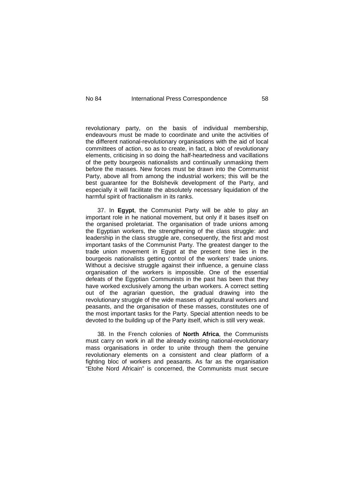revolutionary party, on the basis of individual membership, endeavours must be made to coordinate and unite the activities of the different national-revolutionary organisations with the aid of local committees of action, so as to create, in fact, a bloc of revolutionary elements, criticising in so doing the half-heartedness and vacillations of the petty bourgeois nationalists and continually unmasking them before the masses. New forces must be drawn into the Communist Party, above all from among the industrial workers; this will be the best guarantee for the Bolshevik development of the Party, and especially it will facilitate the absolutely necessary liquidation of the harmful spirit of fractionalism in its ranks.

 37. In **Egypt**, the Communist Party will be able to play an important role in he national movement, but only if it bases itself on the organised proletariat. The organisation of trade unions among the Egyptian workers, the strengthening of the class struggle: and leadership in the class struggle are, consequently, the first and most important tasks of the Communist Party. The greatest danger to the trade union movement in Egypt at the present time lies in the bourgeois nationalists getting control of the workers' trade unions. Without a decisive struggle against their influence, a genuine class organisation of the workers is impossible. One of the essential defeats of the Egyptian Communists in the past has been that they have worked exclusively among the urban workers. A correct setting out of the agrarian question, the gradual drawing into the revolutionary struggle of the wide masses of agricultural workers and peasants, and the organisation of these masses, constitutes one of the most important tasks for the Party. Special attention needs to be devoted to the building up of the Party itself, which is still very weak.

 38. In the French colonies of **North Africa**, the Communists must carry on work in all the already existing national-revolutionary mass organisations in order to unite through them the genuine revolutionary elements on a consistent and clear platform of a fighting bloc of workers and peasants. As far as the organisation "Etohe Nord Africain" is concerned, the Communists must secure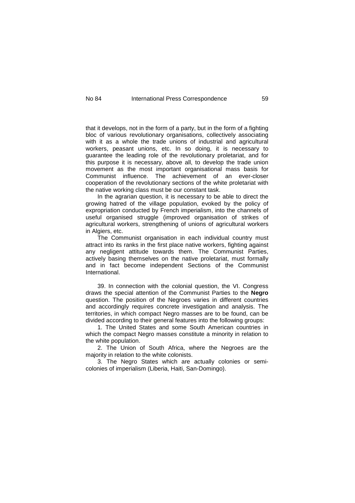that it develops, not in the form of a party, but in the form of a fighting bloc of various revolutionary organisations, collectively associating with it as a whole the trade unions of industrial and agricultural workers, peasant unions, etc. In so doing, it is necessary to guarantee the leading role of the revolutionary proletariat, and for this purpose it is necessary, above all, to develop the trade union movement as the most important organisational mass basis for Communist influence. The achievement of an ever-closer cooperation of the revolutionary sections of the white proletariat with the native working class must be our constant task.

 In the agrarian question, it is necessary to be able to direct the growing hatred of the village population, evoked by the policy of expropriation conducted by French imperialism, into the channels of useful organised struggle (improved organisation of strikes of agricultural workers, strengthening of unions of agricultural workers in Algiers, etc.

 The Communist organisation in each individual country must attract into its ranks in the first place native workers, fighting against any negligent attitude towards them. The Communist Parties, actively basing themselves on the native proletariat, must formally and in fact become independent Sections of the Communist International.

 39. In connection with the colonial question, the VI. Congress draws the special attention of the Communist Parties to the **Negro** question. The position of the Negroes varies in different countries and accordingly requires concrete investigation and analysis. The territories, in which compact Negro masses are to be found, can be divided according to their general features into the following groups:

 1. The United States and some South American countries in which the compact Negro masses constitute a minority in relation to the white population.

 2. The Union of South Africa, where the Negroes are the majority in relation to the white colonists.

 3. The Negro States which are actually colonies or semicolonies of imperialism (Liberia, Haiti, San-Domingo).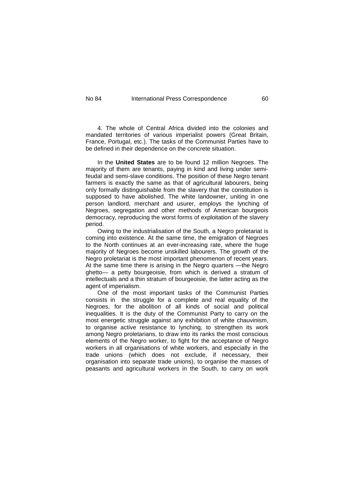4. The whole of Central Africa divided into the colonies and mandated territories of various imperialist powers (Great Britain, France, Portugal, etc.). The tasks of the Communist Parties have to be defined in their dependence on the concrete situation.

 In the **United States** are to be found 12 million Negroes. The majority of them are tenants, paying in kind and living under semifeudal and semi-slave conditions. The position of these Negro tenant farmers is exactly the same as that of agricultural labourers, being only formally distinguishable from the slavery that the constitution is supposed to have abolished. The white landowner, uniting in one person landlord, merchant and usurer, employs the lynching of Negroes, segregation and other methods of American bourgeois democracy, reproducing the worst forms of exploitation of the slavery period.

 Owing to the industrialisation of the South, a Negro proletariat is coming into existence. At the same time, the emigration of Negroes to the North continues at an ever-increasing rate, where the huge majority of Negroes become unskilled labourers. The growth of the Negro proletariat is the most important phenomenon of recent years. At the same time there is arising in the Negro quarters —the Negro ghetto— a petty bourgeoisie, from which is derived a stratum of intellectuals and a thin stratum of bourgeoisie, the latter acting as the agent of imperialism.

 One of the most important tasks of the Communist Parties consists in the struggle for a complete and real equality of the Negroes, for the abolition of all kinds of social and political inequalities. It is the duty of the Communist Party to carry on the most energetic struggle against any exhibition of white chauvinism, to organise active resistance to lynching, to strengthen its work among Negro proletarians, to draw into its ranks the most conscious elements of the Negro worker, to fight for the acceptance of Negro workers in all organisations of white workers, and especially in the trade unions (which does not exclude, if necessary, their organisation into separate trade unions), to organise the masses of peasants and agricultural workers in the South, to carry on work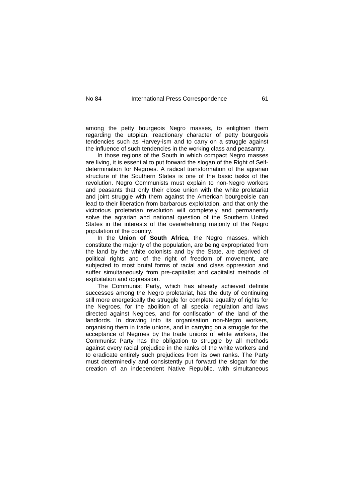among the petty bourgeois Negro masses, to enlighten them regarding the utopian, reactionary character of petty bourgeois tendencies such as Harvey-ism and to carry on a struggle against the influence of such tendencies in the working class and peasantry.

 In those regions of the South in which compact Negro masses are living, it is essential to put forward the slogan of the Right of Selfdetermination for Negroes. A radical transformation of the agrarian structure of the Southern States is one of the basic tasks of the revolution. Negro Communists must explain to non-Negro workers and peasants that only their close union with the white proletariat and joint struggle with them against the American bourgeoisie can lead to their liberation from barbarous exploitation, and that only the victorious proletarian revolution will completely and permanently solve the agrarian and national question of the Southern United States in the interests of the overwhelming majority of the Negro population of the country.

 In the **Union of South Africa**, the Negro masses, which constitute the majority of the population, are being expropriated from the land by the white colonists and by the State, are deprived of political rights and of the right of freedom of movement, are subjected to most brutal forms of racial and class oppression and suffer simultaneously from pre-capitalist and capitalist methods of exploitation and oppression.

 The Communist Party, which has already achieved definite successes among the Negro proletariat, has the duty of continuing still more energetically the struggle for complete equality of rights for the Negroes, for the abolition of all special regulation and laws directed against Negroes, and for confiscation of the land of the landlords. In drawing into its organisation non-Negro workers, organising them in trade unions, and in carrying on a struggle for the acceptance of Negroes by the trade unions of white workers, the Communist Party has the obligation to struggle by all methods against every racial prejudice in the ranks of the white workers and to eradicate entirely such prejudices from its own ranks. The Party must determinedly and consistently put forward the slogan for the creation of an independent Native Republic, with simultaneous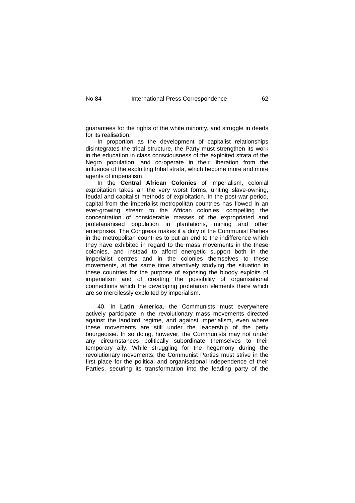guarantees for the rights of the white minority, and struggle in deeds for its realisation.

 In proportion as the development of capitalist relationships disintegrates the tribal structure, the Party must strengthen its work in the education in class consciousness of the exploited strata of the Negro population, and co-operate in their liberation from the influence of the exploiting tribal strata, which become more and more agents of imperialism.

 In the **Central African Colonies** of imperialism, colonial exploitation takes an the very worst forms, uniting slave-owning, feudal and capitalist methods of exploitation. In the post-war period, capital from the imperialist metropolitan countries has flowed in an ever-growing stream to the African colonies, compelling the concentration of considerable masses of the expropriated and proletarianised population in plantations, mining and other enterprises. The Congress makes it a duty of the Communist Parties in the metropolitan countries to put an end to the indifference which they have exhibited in regard to the mass movements in the these colonies, and instead to afford energetic support both in the imperialist centres and in the colonies themselves to these movements, at the same time attentively studying the situation in these countries for the purpose of exposing the bloody exploits of imperialism and of creating the possibility of organisational connections which the developing proletarian elements there which are so mercilessly exploited by imperialism.

 40. In **Latin America**, the Communists must everywhere actively participate in the revolutionary mass movements directed against the landlord regime, and against imperialism, even where these movements are still under the leadership of the petty bourgeoisie. In so doing, however, the Communists may not under any circumstances politically subordinate themselves to their temporary ally. While struggling for the hegemony during the revolutionary movements, the Communist Parties must strive in the first place for the political and organisational independence of their Parties, securing its transformation into the leading party of the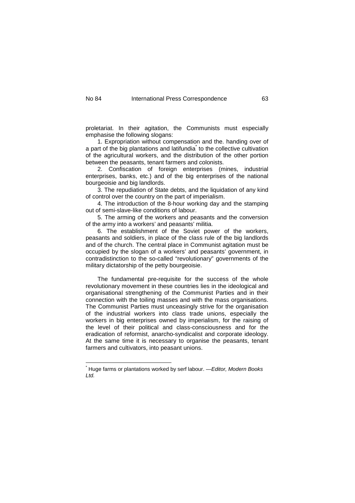$\overline{\phantom{a}}$ 

## No 84 International Press Correspondence 63

proletariat. In their agitation, the Communists must especially emphasise the following slogans:

 1. Expropriation without compensation and the. handing over of a part of the big plantations and latifundia<sup>\*</sup> to the collective cultivation of the agricultural workers, and the distribution of the other portion between the peasants, tenant farmers and colonists.

 2. Confiscation of foreign enterprises (mines, industrial enterprises, banks, etc.) and of the big enterprises of the national bourgeoisie and big landlords.

 3. The repudiation of State debts, and the liquidation of any kind of control over the country on the part of imperialism.

 4. The introduction of the 8-hour working day and the stamping out of semi-slave-like conditions of labour.

 5. The arming of the workers and peasants and the conversion of the army into a workers' and peasants' militia.

 6. The establishment of the Soviet power of the workers, peasants and soldiers, in place of the class rule of the big landlords and of the church. The central place in Communist agitation must be occupied by the slogan of a workers' and peasants' government, in contradistinction to the so-called "revolutionary" governments of the military dictatorship of the petty bourgeoisie.

 The fundamental pre-requisite for the success of the whole revolutionary movement in these countries lies in the ideological and organisational strengthening of the Communist Parties and in their connection with the toiling masses and with the mass organisations. The Communist Parties must unceasingly strive for the organisation of the industrial workers into class trade unions, especially the workers in big enterprises owned by imperialism, for the raising of the level of their political and class-consciousness and for the eradication of reformist, anarcho-syndicalist and corporate ideology. At the same time it is necessary to organise the peasants, tenant farmers and cultivators, into peasant unions.

<sup>\*</sup> Huge farms or plantations worked by serf labour. — Editor, Modern Books  $Itd.$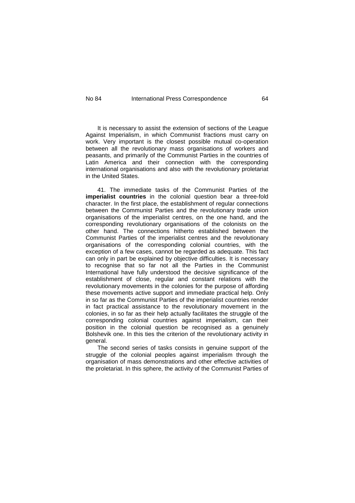It is necessary to assist the extension of sections of the League Against Imperialism, in which Communist fractions must carry on work. Very important is the closest possible mutual co-operation between all the revolutionary mass organisations of workers and peasants, and primarily of the Communist Parties in the countries of Latin America and their connection with the corresponding international organisations and also with the revolutionary proletariat in the United States.

 41. The immediate tasks of the Communist Parties of the **imperialist countries** in the colonial question bear a three-fold character. In the first place, the establishment of regular connections between the Communist Parties and the revolutionary trade union organisations of the imperialist centres, on the one hand, and the corresponding revolutionary organisations of the colonists on the other hand. The connections hitherto established between the Communist Parties of the imperialist centres and the revolutionary organisations of the corresponding colonial countries, with the exception of a few cases, cannot be regarded as adequate. This fact can only in part be explained by objective difficulties. It is necessary to recognise that so far not all the Parties in the Communist International have fully understood the decisive significance of the establishment of close, regular and constant relations with the revolutionary movements in the colonies for the purpose of affording these movements active support and immediate practical help. Only in so far as the Communist Parties of the imperialist countries render in fact practical assistance to the revolutionary movement in the colonies, in so far as their help actually facilitates the struggle of the corresponding colonial countries against imperialism, can their position in the colonial question be recognised as a genuinely Bolshevik one. In this ties the criterion of the revolutionary activity in general.

 The second series of tasks consists in genuine support of the struggle of the colonial peoples against imperialism through the organisation of mass demonstrations and other effective activities of the proletariat. In this sphere, the activity of the Communist Parties of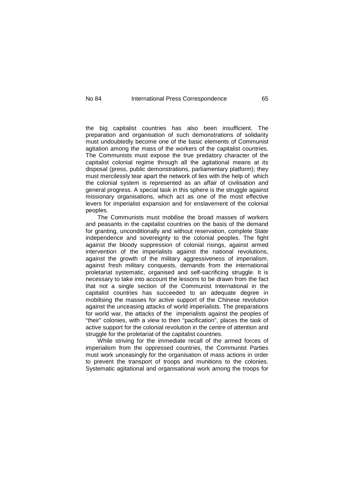the big capitalist countries has also been insufficient. The preparation and organisation of such demonstrations of solidarity must undoubtedly become one of the basic elements of Communist agitation among the mass of the workers of the capitalist countries. The Communists must expose the true predatory character of the capitalist colonial regime through all the agitational means at its disposal (press, public demonstrations, parliamentary platform); they must mercilessly tear apart the network of lies with the help of which the colonial system is represented as an affair of civilisation and general progress. A special task in this sphere is the struggle against missionary organisations, which act as one of the most effective levers for imperialist expansion and for enslavement of the colonial peoples.

 The Communists must mobilise the broad masses of workers and peasants in the capitalist countries on the basis of the demand for granting, unconditionally and without reservation, complete State independence and sovereignty to the colonial peoples. The fight against the bloody suppression of colonial risings, against armed intervention of the imperialists against the national revolutions, against the growth of the military aggressiveness of imperialism, against fresh military conquests, demands from the international proletariat systematic, organised and self-sacrificing struggle. It is necessary to take into account the lessons to be drawn from the fact that not a single section of the Communist International in the capitalist countries has succeeded to an adequate degree in mobilising the masses for active support of the Chinese revolution against the unceasing attacks of world imperialists. The preparations for world war, the attacks of the imperialists against the peoples of "their" colonies, with a view to then "pacification", places the task of active support for the colonial revolution in the centre of attention and struggle for the proletariat of the capitalist countries.

 While striving for the immediate recall of the armed forces of imperialism from the oppressed countries, the Communist Parties must work unceasingly for the organisation of mass actions in order to prevent the transport of troops and munitions to the colonies. Systematic agitational and organisational work among the troops for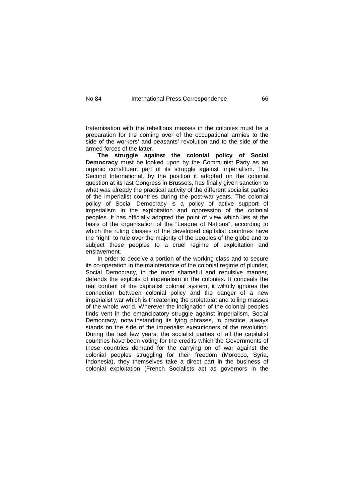fraternisation with the rebellious masses in the colonies must be a preparation for the coming over of the occupational armies to the side of the workers' and peasants' revolution and to the side of the armed forces of the latter.

**The struggle against the colonial policy of Social Democracy** must be looked upon by the Communist Party as an organic constituent part of its struggle against imperialism. The Second International, by the position it adopted on the colonial question at its last Congress in Brussels, has finally given sanction to what was already the practical activity of the different socialist parties of the imperialist countries during the post-war years. The colonial policy of Social Democracy is a policy of active support of imperialism in the exploitation and oppression of the colonial peoples. It has officially adopted the point of view which lies at the basis of the organisation of the "League of Nations", according to which the ruling classes of the developed capitalist countries have the "right" to rule over the majority of the peoples of the globe and to subject these peoples to a cruel regime of exploitation and enslavement.

 In order to deceive a portion of the working class and to secure its co-operation in the maintenance of the colonial regime of plunder, Social Democracy, in the most shameful and repulsive manner, defends the exploits of imperialism in the colonies. It conceals the real content of the capitalist colonial system, it wilfully ignores the connection between colonial policy and the danger of a new imperialist war which is threatening the proletariat and toiling masses of the whole world. Wherever the indignation of the colonial peoples finds vent in the emancipatory struggle against imperialism, Social Democracy, notwithstanding its lying phrases, in practice, always stands on the side of the imperialist executioners of the revolution. During the last few years, the socialist parties of all the capitalist countries have been voting for the credits which the Governments of these countries demand for the carrying on of war against the colonial peoples struggling for their freedom (Morocco, Syria, Indonesia), they themselves take a direct part in the business of colonial exploitation (French Socialists act as governors in the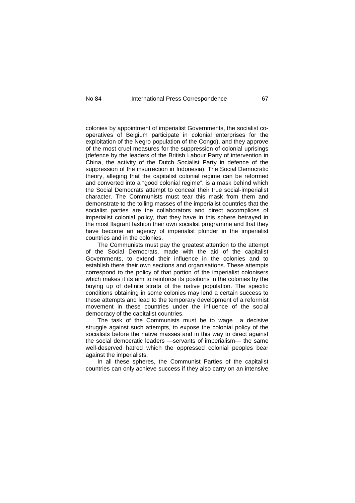colonies by appointment of imperialist Governments, the socialist cooperatives of Belgium participate in colonial enterprises for the exploitation of the Negro population of the Congo), and they approve of the most cruel measures for the suppression of colonial uprisings (defence by the leaders of the British Labour Party of intervention in China, the activity of the Dutch Socialist Party in defence of the suppression of the insurrection in Indonesia). The Social Democratic theory, alleging that the capitalist colonial regime can be reformed and converted into a "good colonial regime", is a mask behind which the Social Democrats attempt to conceal their true social-imperialist character. The Communists must tear this mask from them and demonstrate to the toiling masses of the imperialist countries that the socialist parties are the collaborators and direct accomplices of imperialist colonial policy, that they have in this sphere betrayed in the most flagrant fashion their own socialist programme and that they have become an agency of imperialist plunder in the imperialist countries and in the colonies.

 The Communists must pay the greatest attention to the attempt of the Social Democrats, made with the aid of the capitalist Governments, to extend their influence in the colonies and to establish there their own sections and organisations. These attempts correspond to the policy of that portion of the imperialist colonisers which makes it its aim to reinforce its positions in the colonies by the buying up of definite strata of the native population. The specific conditions obtaining in some colonies may lend a certain success to these attempts and lead to the temporary development of a reformist movement in these countries under the influence of the social democracy of the capitalist countries.

 The task of the Communists must be to wage a decisive struggle against such attempts, to expose the colonial policy of the socialists before the native masses and in this way to direct against the social democratic leaders —servants of imperialism— the same well-deserved hatred which the oppressed colonial peoples bear against the imperialists.

 In all these spheres, the Communist Parties of the capitalist countries can only achieve success if they also carry on an intensive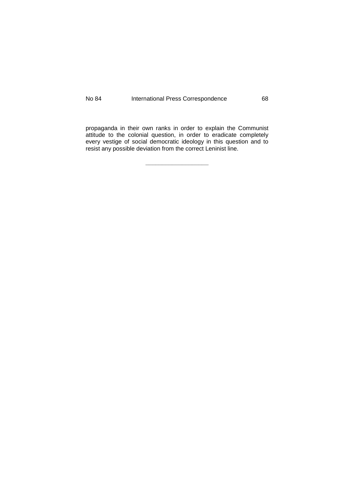propaganda in their own ranks in order to explain the Communist attitude to the colonial question, in order to eradicate completely every vestige of social democratic ideology in this question and to resist any possible deviation from the correct Leninist line.

**\_\_\_\_\_\_\_\_\_\_\_\_\_\_\_\_\_\_\_**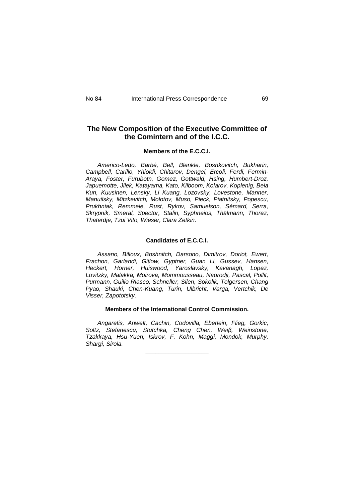# **The New Composition of the Executive Committee of the Comintern and of the I.C.C.**

## **Members of the E.C.C.I.**

Americo-Ledo, Barbé, Bell, Blenkle, Boshkovitch, Bukharin, Campbell, Carillo, Yhioldi, Chitarov, Dengel, Ercoli, Ferdi, Fermin-Araya, Foster, Furubotn, Gomez, Gottwald, Hsing, Humbert-Droz, Japuemotte, Jilek, Katayama, Kato, Kilboom, Kolarov, Koplenig, Bela Kun, Kuusinen, Lensky, Li Kuang, Lozovsky, Lovestone, Manner, Manuilsky, Mitzkevitch, Molotov, Muso, Pieck, Piatnitsky, Popescu, Prukhniak, Remmele, Rust, Rykov, Samuelson, Sémard, Serra, Skrypnik, Smeral, Spector, Stalin, Syphneios, Thälmann, Thorez, Thaterdje, Tzui Vito, Wieser, Clara Zetkin.

## **Candidates of E.C.C.I.**

Assano, Billoux, Boshnitch, Darsono, Dimitrov, Doriot, Ewert, Frachon, Garlandi, Gitlow, Gyptner, Guan Li, Gussev, Hansen, Heckert, Horner, Huiswood, Yaroslavsky, Kavanagh, Lopez, Lovitzky, Malakka, Moirova, Mommousseau, Naorodji, Pascal, Pollit, Purmann, Guilio Riasco, Schneller, Silen, Sokolik, Tolgersen, Chang Pyao, Shauki, Chen-Kuang, Turin, Ulbricht, Varga, Vertchik, De Visser, Zapototsky.

#### **Members of the International Control Commission.**

Angaretis, Anwelt, Cachin, Codovilla, Eberlein, Flieg, Gorkic, Soltz, Stefanescu, Stutchka, Cheng Chen, Weiβ, Weinstone, Tzakkaya, Hsu-Yuen, Iskrov, F. Kohn, Maggi, Mondok, Murphy, Shargi, Sirola.

**\_\_\_\_\_\_\_\_\_\_\_\_\_\_\_\_\_\_\_**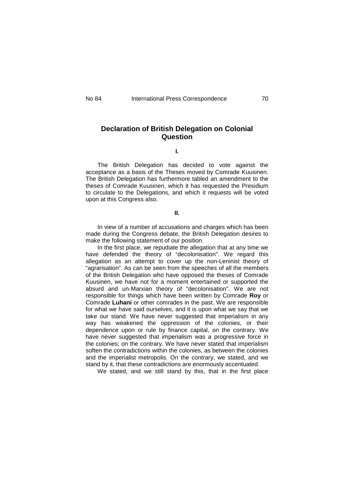# **Declaration of British Delegation on Colonial Question**

## **I.**

 The British Delegation has decided to vote against the acceptance as a basis of the Theses moved by Comrade Kuusinen. The British Delegation has furthermore tabled an amendment to the theses of Comrade Kuusinen, which it has requested the Presidium to circulate to the Delegations, and which it requests will be voted upon at this Congress also.

## **II.**

 In view of a number of accusations and charges which has been made during the Congress debate, the British Delegation desires to make the following statement of our position.

 In the first place, we repudiate the allegation that at any time we have defended the theory of "decolonisation". We regard this allegation as an attempt to cover up the non-Leninist theory of "agrarisation". As can be seen from the speeches of all the members of the British Delegation who have opposed the theses of Comrade Kuusinen, we have not for a moment entertained or supported the absurd and un-Marxian theory of "decolonisation". We are not responsible for things which have been written by Comrade **Roy** or Comrade **Luhani** or other comrades in the past. We are responsible for what we have said ourselves, and it is upon what we say that we take our stand. We have never suggested that imperialism in any way has weakened the oppression of the colonies, or their dependence upon or rule by finance capital, on the contrary. We have never suggested that imperialism was a progressive force in the colonies; on the contrary. We have never stated that imperialism soften the contradictions within the colonies, as between the colonies and the imperialist metropolis. On the contrary, we stated, and we stand by it, that these contradictions are enormously accentuated.

We stated, and we still stand by this, that in the first place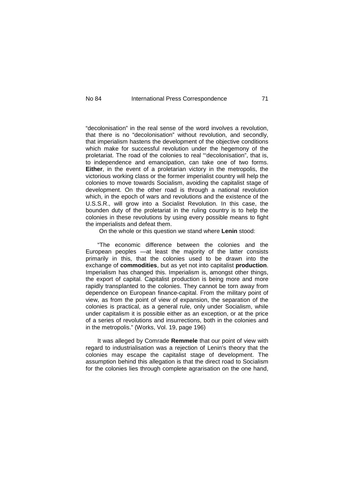"decolonisation" in the real sense of the word involves a revolution, that there is no "decolonisation" without revolution, and secondly, that imperialism hastens the development of the objective conditions which make for successful revolution under the hegemony of the proletariat. The road of the colonies to real "'decolonisation", that is, to independence and emancipation, can take one of two forms. **Either**, in the event of a proletarian victory in the metropolis, the victorious working class or the former imperialist country will help the colonies to move towards Socialism, avoiding the capitalist stage of development. On the other road is through a national revolution which, in the epoch of wars and revolutions and the existence of the U.S.S.R., will grow into a Socialist Revolution. In this case, the bounden duty of the proletariat in the ruling country is to help the colonies in these revolutions by using every possible means to fight the imperialists and defeat them.

On the whole or this question we stand where **Lenin** stood:

 "The economic difference between the colonies and the European peoples —at least the majority of the latter consists primarily in this, that the colonies used to be drawn into the exchange of **commodities**, but as yet not into capitalist **production**. Imperialism has changed this. Imperialism is, amongst other things, the export of capital. Capitalist production is being more and more rapidly transplanted to the colonies. They cannot be torn away from dependence on European finance-capital. From the military point of view, as from the point of view of expansion, the separation of the colonies is practical, as a general rule, only under Socialism, while under capitalism it is possible either as an exception, or at the price of a series of revolutions and insurrections, both in the colonies and in the metropolis." (Works, Vol. 19, page 196)

 It was alleged by Comrade **Remmele** that our point of view with regard to industrialisation was a rejection of Lenin's theory that the colonies may escape the capitalist stage of development. The assumption behind this allegation is that the direct road to Socialism for the colonies lies through complete agrarisation on the one hand,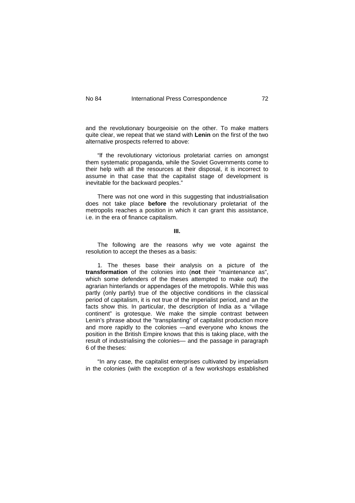and the revolutionary bourgeoisie on the other. To make matters quite clear, we repeat that we stand with **Lenin** on the first of the two alternative prospects referred to above:

 "lf the revolutionary victorious proletariat carries on amongst them systematic propaganda, while the Soviet Governments come to their help with all the resources at their disposal, it is incorrect to assume in that case that the capitalist stage of development is inevitable for the backward peoples."

 There was not one word in this suggesting that industrialisation does not take place **before** the revolutionary proletariat of the metropolis reaches a position in which it can grant this assistance, i.e. in the era of finance capitalism.

#### **III.**

 The following are the reasons why we vote against the resolution to accept the theses as a basis:

 1. The theses base their analysis on a picture of the **transformation** of the colonies into (**not** their "maintenance as", which some defenders of the theses attempted to make out) the agrarian hinterlands or appendages of the metropolis. While this was partly (only partly) true of the objective conditions in the classical period of capitalism, it is not true of the imperialist period, and an the facts show this. In particular, the description of India as a "village continent" is grotesque. We make the simple contrast between Lenin's phrase about the "transplanting" of capitalist production more and more rapidly to the colonies —and everyone who knows the position in the British Empire knows that this is taking place, with the result of industrialising the colonies— and the passage in paragraph 6 of the theses:

 "In any case, the capitalist enterprises cultivated by imperialism in the colonies (with the exception of a few workshops established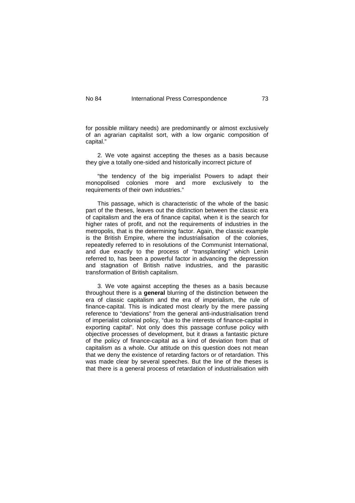for possible military needs) are predominantly or almost exclusively of an agrarian capitalist sort, with a low organic composition of capital."

 2. We vote against accepting the theses as a basis because they give a totally one-sided and historically incorrect picture of

 "the tendency of the big imperialist Powers to adapt their monopolised colonies more and more exclusively to the requirements of their own industries."

 This passage, which is characteristic of the whole of the basic part of the theses, leaves out the distinction between the classic era of capitalism and the era of finance capital, when it is the search for higher rates of profit, and not the requirements of industries in the metropolis, that is the determining factor. Again, the classic example is the British Empire, where the industrialisation of the colonies, repeatedly referred to in resolutions of the Communist International, and due exactly to the process of "transplanting" which Lenin referred to, has been a powerful factor in advancing the depression and stagnation of British native industries, and the parasitic transformation of British capitalism.

 3. We vote against accepting the theses as a basis because throughout there is a **general** blurring of the distinction between the era of classic capitalism and the era of imperialism, the rule of finance-capital. This is indicated most clearly by the mere passing reference to "deviations" from the general anti-industrialisation trend of imperialist colonial policy, "due to the interests of finance-capital in exporting capital". Not only does this passage confuse policy with objective processes of development, but it draws a fantastic picture of the policy of finance-capital as a kind of deviation from that of capitalism as a whole. Our attitude on this question does not mean that we deny the existence of retarding factors or of retardation. This was made clear by several speeches. But the line of the theses is that there is a general process of retardation of industrialisation with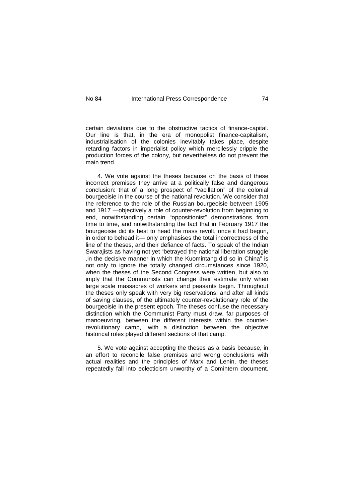certain deviations due to the obstructive tactics of finance-capital. Our line is that, in the era of monopolist finance-capitalism, industrialisation of the colonies inevitably takes place, despite retarding factors in imperialist policy which mercilessly cripple the production forces of the colony, but nevertheless do not prevent the main trend.

 4. We vote against the theses because on the basis of these incorrect premises they arrive at a politically false and dangerous conclusion: that of a long prospect of "vacillation" of the colonial bourgeoisie in the course of the national revolution. We consider that the reference to the role of the Russian bourgeoisie between 1905 and 1917 —objectively a role of counter-revolution from beginning to end, notwithstanding certain "oppositionist" demonstrations from time to time, and notwithstanding the fact that in February 1917 the bourgeoisie did its best to head the mass revolt, once it had begun, in order to behead it— only emphasises the total incorrectness of the line of the theses, and their defiance of facts. To speak of the Indian Swarajists as having not yet "betrayed the national liberation struggle .in the decisive manner in which the Kuomintang did so in China" is not only to ignore the totally changed circumstances since 1920, when the theses of the Second Congress were written, but also to imply that the Communists can change their estimate only when large scale massacres of workers and peasants begin. Throughout the theses only speak with very big reservations, and after all kinds of saving clauses, of the ultimately counter-revolutionary role of the bourgeoisie in the present epoch. The theses confuse the necessary distinction which the Communist Party must draw, far purposes of manoeuvring, between the different interests within the counterrevolutionary camp,. with a distinction between the objective historical roles played different sections of that camp.

 5. We vote against accepting the theses as a basis because, in an effort to reconcile false premises and wrong conclusions with actual realities and the principles of Marx and Lenin, the theses repeatedly fall into eclecticism unworthy of a Comintern document.